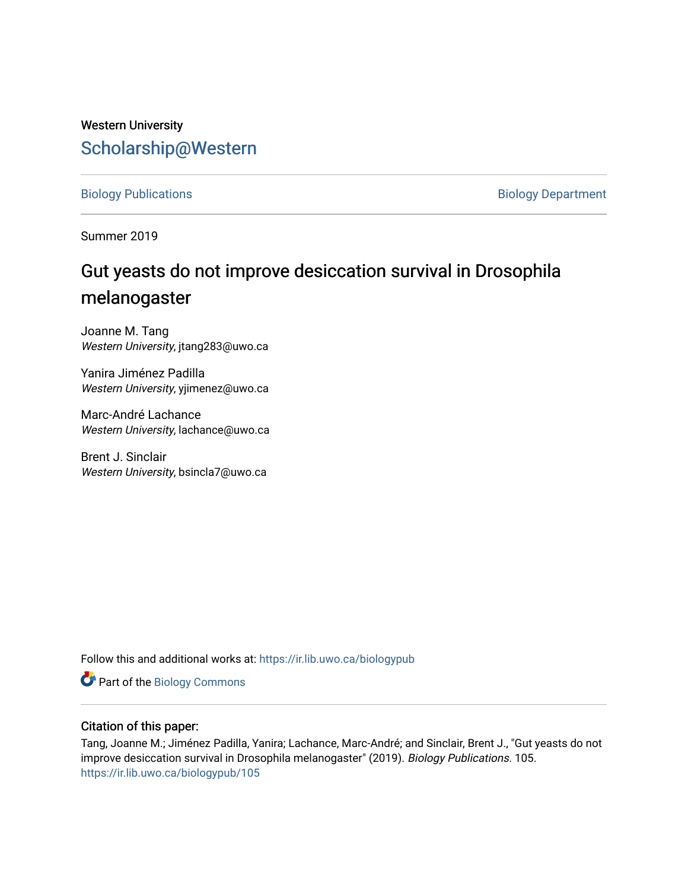## Western University [Scholarship@Western](https://ir.lib.uwo.ca/)

[Biology Publications](https://ir.lib.uwo.ca/biologypub) **Biology Department** 

Summer 2019

# Gut yeasts do not improve desiccation survival in Drosophila melanogaster

Joanne M. Tang Western University, jtang283@uwo.ca

Yanira Jiménez Padilla Western University, yjimenez@uwo.ca

Marc-André Lachance Western University, lachance@uwo.ca

Brent J. Sinclair Western University, bsincla7@uwo.ca

Follow this and additional works at: [https://ir.lib.uwo.ca/biologypub](https://ir.lib.uwo.ca/biologypub?utm_source=ir.lib.uwo.ca%2Fbiologypub%2F105&utm_medium=PDF&utm_campaign=PDFCoverPages)

Part of the [Biology Commons](http://network.bepress.com/hgg/discipline/41?utm_source=ir.lib.uwo.ca%2Fbiologypub%2F105&utm_medium=PDF&utm_campaign=PDFCoverPages) 

#### Citation of this paper:

Tang, Joanne M.; Jiménez Padilla, Yanira; Lachance, Marc-André; and Sinclair, Brent J., "Gut yeasts do not improve desiccation survival in Drosophila melanogaster" (2019). Biology Publications. 105. [https://ir.lib.uwo.ca/biologypub/105](https://ir.lib.uwo.ca/biologypub/105?utm_source=ir.lib.uwo.ca%2Fbiologypub%2F105&utm_medium=PDF&utm_campaign=PDFCoverPages)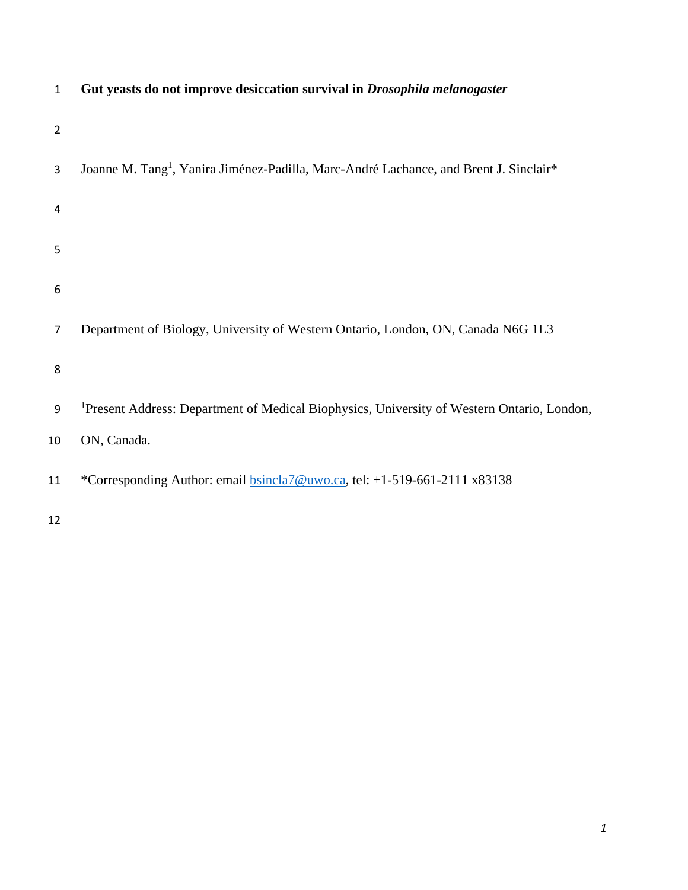| $\mathbf{1}$   | Gut yeasts do not improve desiccation survival in Drosophila melanogaster                              |
|----------------|--------------------------------------------------------------------------------------------------------|
| $\overline{2}$ |                                                                                                        |
| 3              | Joanne M. Tang <sup>1</sup> , Yanira Jiménez-Padilla, Marc-André Lachance, and Brent J. Sinclair*      |
| 4              |                                                                                                        |
| 5              |                                                                                                        |
| 6              |                                                                                                        |
| $\overline{7}$ | Department of Biology, University of Western Ontario, London, ON, Canada N6G 1L3                       |
| 8              |                                                                                                        |
| 9              | <sup>1</sup> Present Address: Department of Medical Biophysics, University of Western Ontario, London, |
| 10             | ON, Canada.                                                                                            |
| 11             | *Corresponding Author: email <b>bsincla7@uwo.ca</b> , tel: +1-519-661-2111 x83138                      |
| 12             |                                                                                                        |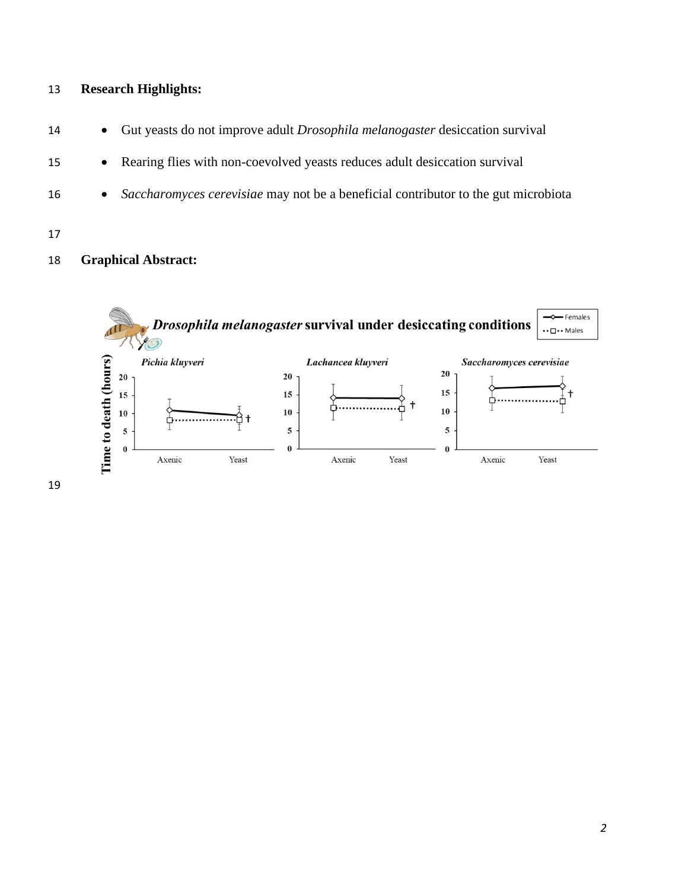## **Research Highlights:**

- Gut yeasts do not improve adult *Drosophila melanogaster* desiccation survival
- Rearing flies with non-coevolved yeasts reduces adult desiccation survival
- *Saccharomyces cerevisiae* may not be a beneficial contributor to the gut microbiota
- 

## **Graphical Abstract:**

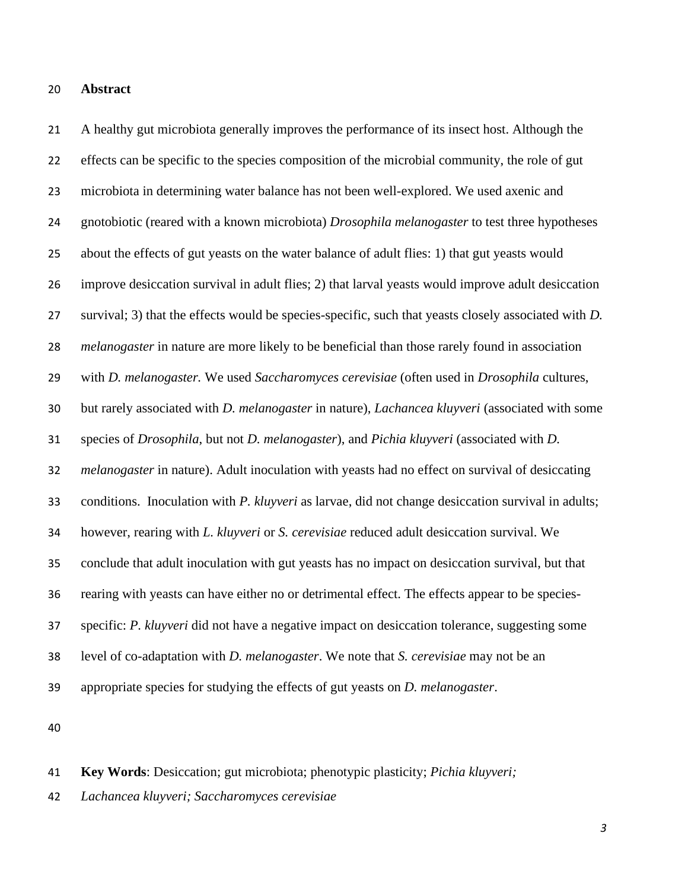#### **Abstract**

 A healthy gut microbiota generally improves the performance of its insect host. Although the effects can be specific to the species composition of the microbial community, the role of gut microbiota in determining water balance has not been well-explored. We used axenic and gnotobiotic (reared with a known microbiota) *Drosophila melanogaster* to test three hypotheses about the effects of gut yeasts on the water balance of adult flies: 1) that gut yeasts would improve desiccation survival in adult flies; 2) that larval yeasts would improve adult desiccation survival; 3) that the effects would be species-specific, such that yeasts closely associated with *D. melanogaster* in nature are more likely to be beneficial than those rarely found in association with *D. melanogaster.* We used *Saccharomyces cerevisiae* (often used in *Drosophila* cultures, but rarely associated with *D. melanogaster* in nature), *Lachancea kluyveri* (associated with some species of *Drosophila*, but not *D. melanogaster*), and *Pichia kluyveri* (associated with *D. melanogaster* in nature). Adult inoculation with yeasts had no effect on survival of desiccating conditions. Inoculation with *P. kluyveri* as larvae, did not change desiccation survival in adults; however, rearing with *L. kluyveri* or *S. cerevisiae* reduced adult desiccation survival. We conclude that adult inoculation with gut yeasts has no impact on desiccation survival, but that rearing with yeasts can have either no or detrimental effect. The effects appear to be species- specific: *P. kluyveri* did not have a negative impact on desiccation tolerance, suggesting some level of co-adaptation with *D. melanogaster*. We note that *S. cerevisiae* may not be an appropriate species for studying the effects of gut yeasts on *D. melanogaster*.

- **Key Words**: Desiccation; gut microbiota; phenotypic plasticity; *Pichia kluyveri;*
- *Lachancea kluyveri; Saccharomyces cerevisiae*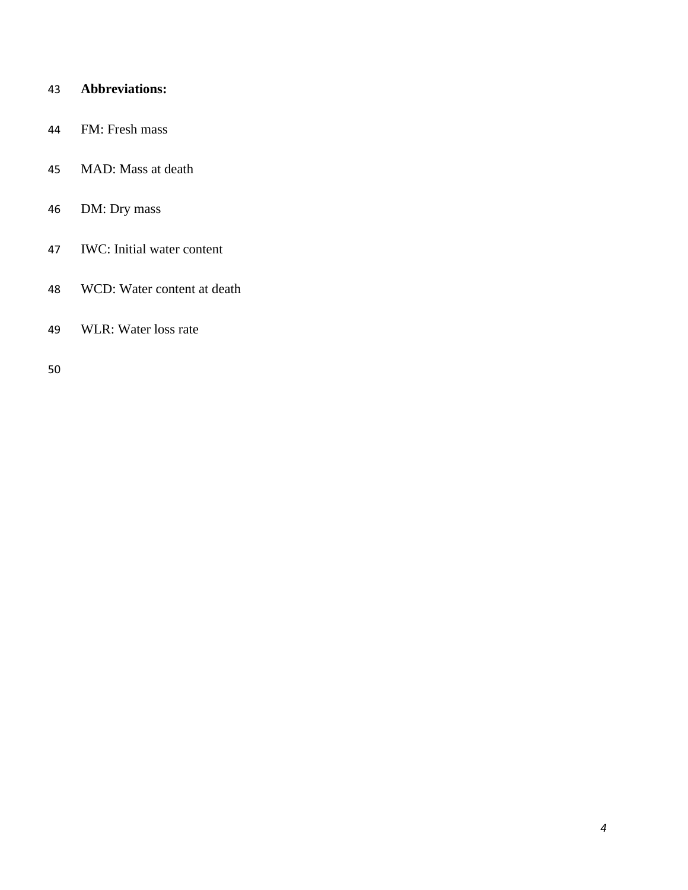## **Abbreviations:**

- FM: Fresh mass
- MAD: Mass at death
- DM: Dry mass
- IWC: Initial water content
- WCD: Water content at death
- WLR: Water loss rate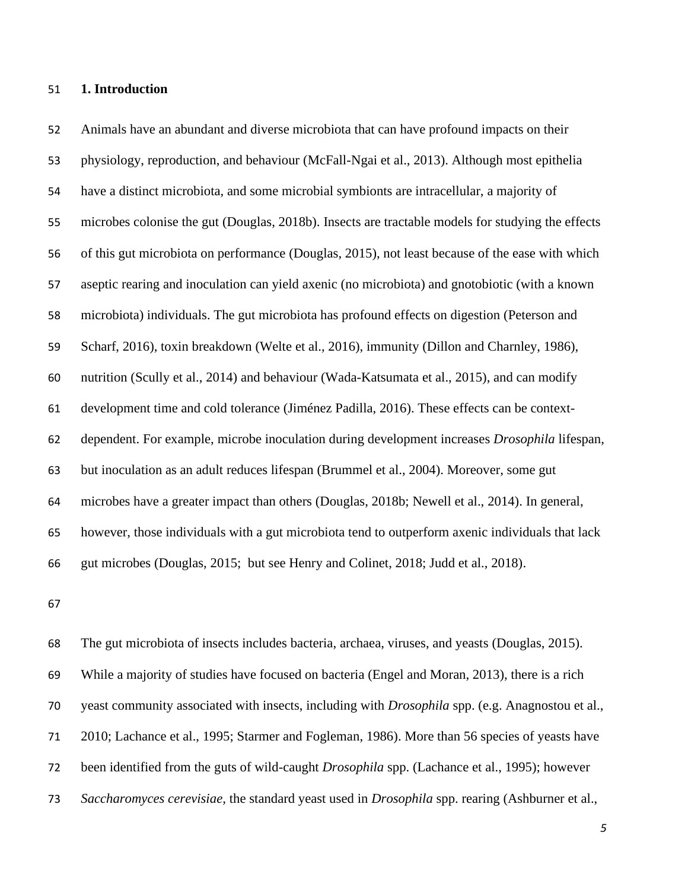#### **1. Introduction**

 Animals have an abundant and diverse microbiota that can have profound impacts on their physiology, reproduction, and behaviour (McFall-Ngai et al., 2013). Although most epithelia have a distinct microbiota, and some microbial symbionts are intracellular, a majority of microbes colonise the gut (Douglas, 2018b). Insects are tractable models for studying the effects of this gut microbiota on performance (Douglas, 2015), not least because of the ease with which aseptic rearing and inoculation can yield axenic (no microbiota) and gnotobiotic (with a known microbiota) individuals. The gut microbiota has profound effects on digestion (Peterson and Scharf, 2016), toxin breakdown (Welte et al., 2016), immunity (Dillon and Charnley, 1986), nutrition (Scully et al., 2014) and behaviour (Wada-Katsumata et al., 2015), and can modify development time and cold tolerance (Jiménez Padilla, 2016). These effects can be context- dependent. For example, microbe inoculation during development increases *Drosophila* lifespan, but inoculation as an adult reduces lifespan (Brummel et al., 2004). Moreover, some gut microbes have a greater impact than others (Douglas, 2018b; Newell et al., 2014). In general, however, those individuals with a gut microbiota tend to outperform axenic individuals that lack gut microbes (Douglas, 2015; but see Henry and Colinet, 2018; Judd et al., 2018).

 The gut microbiota of insects includes bacteria, archaea, viruses, and yeasts (Douglas, 2015). While a majority of studies have focused on bacteria (Engel and Moran, 2013), there is a rich yeast community associated with insects, including with *Drosophila* spp. (e.g. Anagnostou et al., 2010; Lachance et al., 1995; Starmer and Fogleman, 1986). More than 56 species of yeasts have been identified from the guts of wild-caught *Drosophila* spp. (Lachance et al., 1995); however *Saccharomyces cerevisiae,* the standard yeast used in *Drosophila* spp. rearing (Ashburner et al.,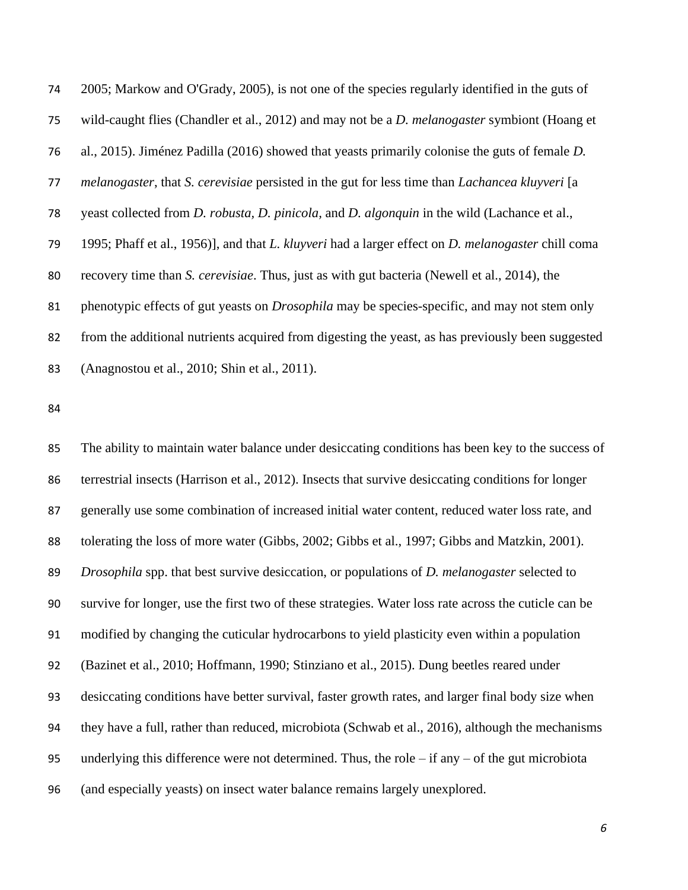2005; Markow and O'Grady, 2005), is not one of the species regularly identified in the guts of wild-caught flies (Chandler et al., 2012) and may not be a *D. melanogaster* symbiont (Hoang et al., 2015). Jiménez Padilla (2016) showed that yeasts primarily colonise the guts of female *D. melanogaster*, that *S. cerevisiae* persisted in the gut for less time than *Lachancea kluyveri* [a yeast collected from *D. robusta, D. pinicola,* and *D. algonquin* in the wild (Lachance et al., 1995; Phaff et al., 1956)], and that *L. kluyveri* had a larger effect on *D. melanogaster* chill coma recovery time than *S. cerevisiae*. Thus, just as with gut bacteria (Newell et al., 2014), the phenotypic effects of gut yeasts on *Drosophila* may be species-specific, and may not stem only from the additional nutrients acquired from digesting the yeast, as has previously been suggested (Anagnostou et al., 2010; Shin et al., 2011).

 The ability to maintain water balance under desiccating conditions has been key to the success of terrestrial insects (Harrison et al., 2012). Insects that survive desiccating conditions for longer generally use some combination of increased initial water content, reduced water loss rate, and tolerating the loss of more water (Gibbs, 2002; Gibbs et al., 1997; Gibbs and Matzkin, 2001). *Drosophila* spp. that best survive desiccation, or populations of *D. melanogaster* selected to survive for longer, use the first two of these strategies. Water loss rate across the cuticle can be modified by changing the cuticular hydrocarbons to yield plasticity even within a population (Bazinet et al., 2010; Hoffmann, 1990; Stinziano et al., 2015). Dung beetles reared under desiccating conditions have better survival, faster growth rates, and larger final body size when they have a full, rather than reduced, microbiota (Schwab et al., 2016), although the mechanisms underlying this difference were not determined. Thus, the role – if any – of the gut microbiota (and especially yeasts) on insect water balance remains largely unexplored.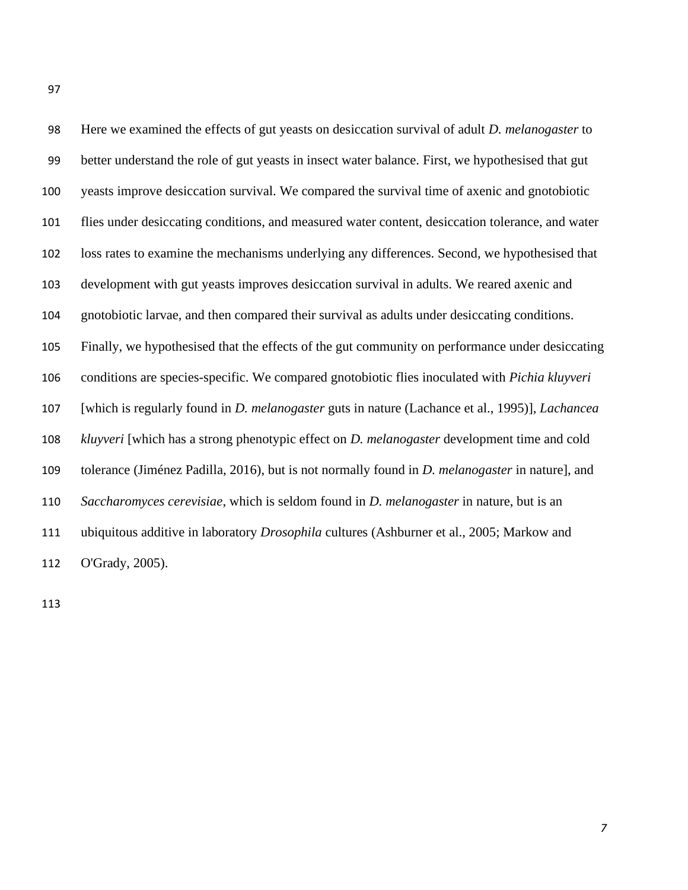| 98  | Here we examined the effects of gut yeasts on desiccation survival of adult <i>D. melanogaster</i> to         |
|-----|---------------------------------------------------------------------------------------------------------------|
| 99  | better understand the role of gut yeasts in insect water balance. First, we hypothesised that gut             |
| 100 | yeasts improve desiccation survival. We compared the survival time of axenic and gnotobiotic                  |
| 101 | flies under desiccating conditions, and measured water content, desiccation tolerance, and water              |
| 102 | loss rates to examine the mechanisms underlying any differences. Second, we hypothesised that                 |
| 103 | development with gut yeasts improves desiccation survival in adults. We reared axenic and                     |
| 104 | gnotobiotic larvae, and then compared their survival as adults under desiccating conditions.                  |
| 105 | Finally, we hypothesised that the effects of the gut community on performance under desiccating               |
| 106 | conditions are species-specific. We compared gnotobiotic flies inoculated with Pichia kluyveri                |
| 107 | [which is regularly found in <i>D. melanogaster</i> guts in nature (Lachance et al., 1995)], <i>Lachancea</i> |
| 108 | kluyveri [which has a strong phenotypic effect on <i>D. melanogaster</i> development time and cold            |
| 109 | tolerance (Jiménez Padilla, 2016), but is not normally found in <i>D. melanogaster</i> in nature], and        |
| 110 | Saccharomyces cerevisiae, which is seldom found in D. melanogaster in nature, but is an                       |
| 111 | ubiquitous additive in laboratory <i>Drosophila</i> cultures (Ashburner et al., 2005; Markow and              |
| 112 | O'Grady, 2005).                                                                                               |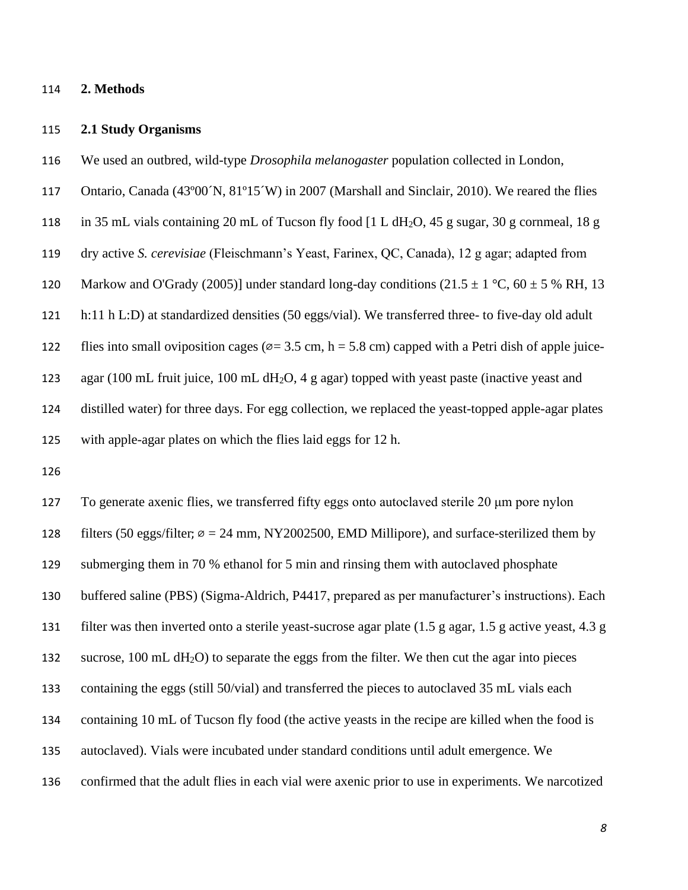#### **2. Methods**

#### **2.1 Study Organisms**

- We used an outbred, wild-type *Drosophila melanogaster* population collected in London,
- Ontario, Canada (43º00´N, 81º15´W) in 2007 (Marshall and Sinclair, 2010). We reared the flies
- 118 in 35 mL vials containing 20 mL of Tucson fly food [1 L dH<sub>2</sub>O, 45 g sugar, 30 g cornmeal, 18 g
- dry active *S. cerevisiae* (Fleischmann's Yeast, Farinex, QC, Canada), 12 g agar; adapted from
- 120 Markow and O'Grady (2005)] under standard long-day conditions (21.5  $\pm$  1 °C, 60  $\pm$  5 % RH, 13
- h:11 h L:D) at standardized densities (50 eggs/vial). We transferred three- to five-day old adult
- 122 flies into small oviposition cages ( $\varnothing$  = 3.5 cm, h = 5.8 cm) capped with a Petri dish of apple juice-

123 agar (100 mL fruit juice, 100 mL dH<sub>2</sub>O, 4 g agar) topped with yeast paste (inactive yeast and

 distilled water) for three days. For egg collection, we replaced the yeast-topped apple-agar plates with apple-agar plates on which the flies laid eggs for 12 h.

 To generate axenic flies, we transferred fifty eggs onto autoclaved sterile 20 μm pore nylon 128 filters (50 eggs/filter;  $\varnothing = 24$  mm, NY2002500, EMD Millipore), and surface-sterilized them by submerging them in 70 % ethanol for 5 min and rinsing them with autoclaved phosphate buffered saline (PBS) (Sigma-Aldrich, P4417, prepared as per manufacturer's instructions). Each filter was then inverted onto a sterile yeast-sucrose agar plate (1.5 g agar, 1.5 g active yeast, 4.3 g 132 sucrose, 100 mL dH<sub>2</sub>O) to separate the eggs from the filter. We then cut the agar into pieces containing the eggs (still 50/vial) and transferred the pieces to autoclaved 35 mL vials each containing 10 mL of Tucson fly food (the active yeasts in the recipe are killed when the food is autoclaved). Vials were incubated under standard conditions until adult emergence. We confirmed that the adult flies in each vial were axenic prior to use in experiments. We narcotized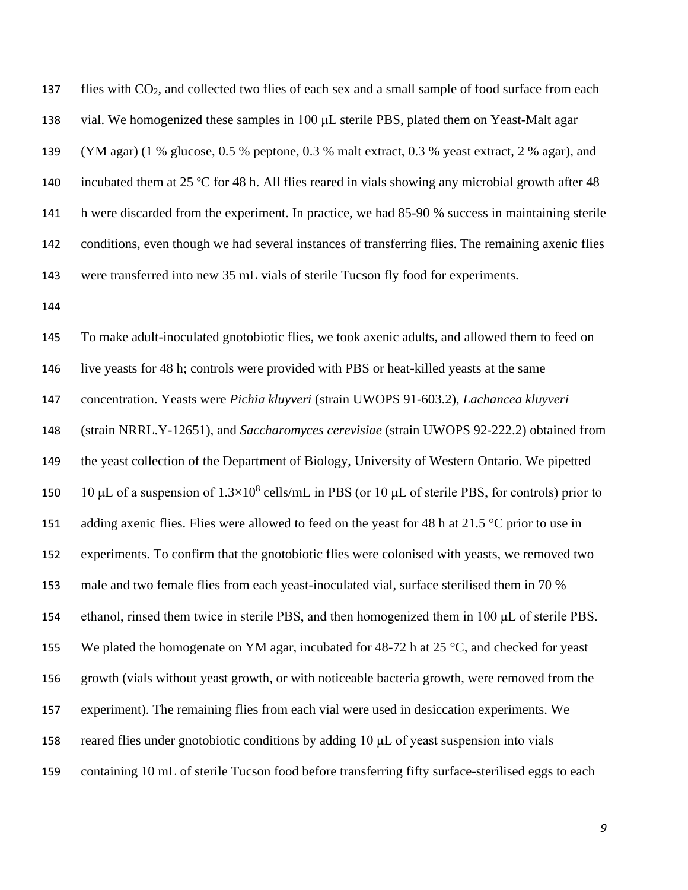flies with CO2, and collected two flies of each sex and a small sample of food surface from each vial. We homogenized these samples in 100 μL sterile PBS, plated them on Yeast-Malt agar (YM agar) (1 % glucose, 0.5 % peptone, 0.3 % malt extract, 0.3 % yeast extract, 2 % agar), and incubated them at 25 ºC for 48 h. All flies reared in vials showing any microbial growth after 48 h were discarded from the experiment. In practice, we had 85-90 % success in maintaining sterile conditions, even though we had several instances of transferring flies. The remaining axenic flies were transferred into new 35 mL vials of sterile Tucson fly food for experiments.

 To make adult-inoculated gnotobiotic flies, we took axenic adults, and allowed them to feed on live yeasts for 48 h; controls were provided with PBS or heat-killed yeasts at the same concentration. Yeasts were *Pichia kluyveri* (strain UWOPS 91-603.2), *Lachancea kluyveri* (strain NRRL.Y-12651), and *Saccharomyces cerevisiae* (strain UWOPS 92-222.2) obtained from the yeast collection of the Department of Biology, University of Western Ontario. We pipetted 150 10 μL of a suspension of  $1.3 \times 10^8$  cells/mL in PBS (or 10 μL of sterile PBS, for controls) prior to 151 adding axenic flies. Flies were allowed to feed on the yeast for 48 h at 21.5  $\degree$ C prior to use in experiments. To confirm that the gnotobiotic flies were colonised with yeasts, we removed two male and two female flies from each yeast-inoculated vial, surface sterilised them in 70 % ethanol, rinsed them twice in sterile PBS, and then homogenized them in 100 μL of sterile PBS. 155 We plated the homogenate on YM agar, incubated for 48-72 h at 25  $^{\circ}$ C, and checked for yeast growth (vials without yeast growth, or with noticeable bacteria growth, were removed from the experiment). The remaining flies from each vial were used in desiccation experiments. We reared flies under gnotobiotic conditions by adding 10 μL of yeast suspension into vials containing 10 mL of sterile Tucson food before transferring fifty surface-sterilised eggs to each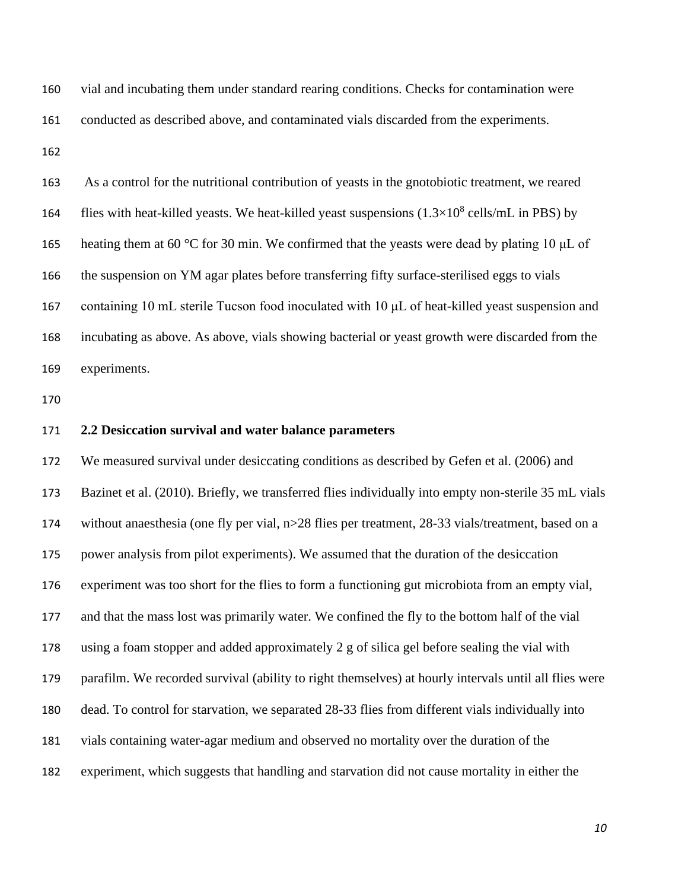vial and incubating them under standard rearing conditions. Checks for contamination were conducted as described above, and contaminated vials discarded from the experiments.

 As a control for the nutritional contribution of yeasts in the gnotobiotic treatment, we reared 164 flies with heat-killed yeasts. We heat-killed yeast suspensions  $(1.3\times10^8 \text{ cells/mL}$  in PBS) by 165 heating them at 60 °C for 30 min. We confirmed that the yeasts were dead by plating 10  $\mu$ L of the suspension on YM agar plates before transferring fifty surface-sterilised eggs to vials containing 10 mL sterile Tucson food inoculated with 10 μL of heat-killed yeast suspension and incubating as above. As above, vials showing bacterial or yeast growth were discarded from the experiments.

#### **2.2 Desiccation survival and water balance parameters**

 We measured survival under desiccating conditions as described by Gefen et al. (2006) and Bazinet et al. (2010). Briefly, we transferred flies individually into empty non-sterile 35 mL vials without anaesthesia (one fly per vial, n>28 flies per treatment, 28-33 vials/treatment, based on a power analysis from pilot experiments). We assumed that the duration of the desiccation experiment was too short for the flies to form a functioning gut microbiota from an empty vial, and that the mass lost was primarily water. We confined the fly to the bottom half of the vial using a foam stopper and added approximately 2 g of silica gel before sealing the vial with parafilm. We recorded survival (ability to right themselves) at hourly intervals until all flies were dead. To control for starvation, we separated 28-33 flies from different vials individually into vials containing water-agar medium and observed no mortality over the duration of the experiment, which suggests that handling and starvation did not cause mortality in either the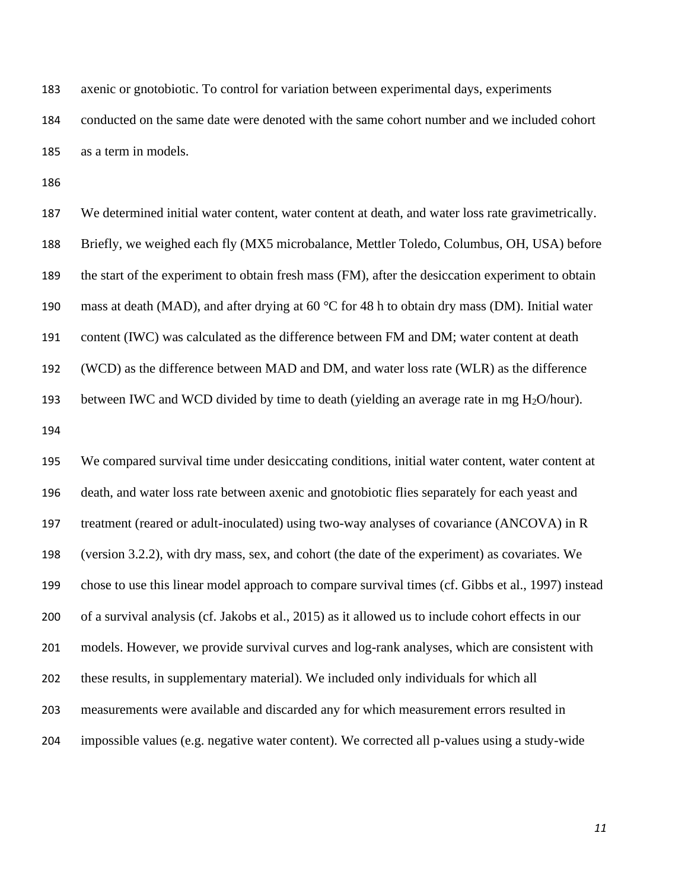axenic or gnotobiotic. To control for variation between experimental days, experiments conducted on the same date were denoted with the same cohort number and we included cohort

as a term in models.

 We determined initial water content, water content at death, and water loss rate gravimetrically. Briefly, we weighed each fly (MX5 microbalance, Mettler Toledo, Columbus, OH, USA) before the start of the experiment to obtain fresh mass (FM), after the desiccation experiment to obtain 190 mass at death (MAD), and after drying at  $60^{\circ}$ C for 48 h to obtain dry mass (DM). Initial water content (IWC) was calculated as the difference between FM and DM; water content at death (WCD) as the difference between MAD and DM, and water loss rate (WLR) as the difference 193 between IWC and WCD divided by time to death (yielding an average rate in mg  $H_2O/h$ our).

 We compared survival time under desiccating conditions, initial water content, water content at death, and water loss rate between axenic and gnotobiotic flies separately for each yeast and treatment (reared or adult-inoculated) using two-way analyses of covariance (ANCOVA) in R (version 3.2.2), with dry mass, sex, and cohort (the date of the experiment) as covariates. We chose to use this linear model approach to compare survival times (cf. Gibbs et al., 1997) instead of a survival analysis (cf. Jakobs et al., 2015) as it allowed us to include cohort effects in our models. However, we provide survival curves and log-rank analyses, which are consistent with these results, in supplementary material). We included only individuals for which all measurements were available and discarded any for which measurement errors resulted in impossible values (e.g. negative water content). We corrected all p-values using a study-wide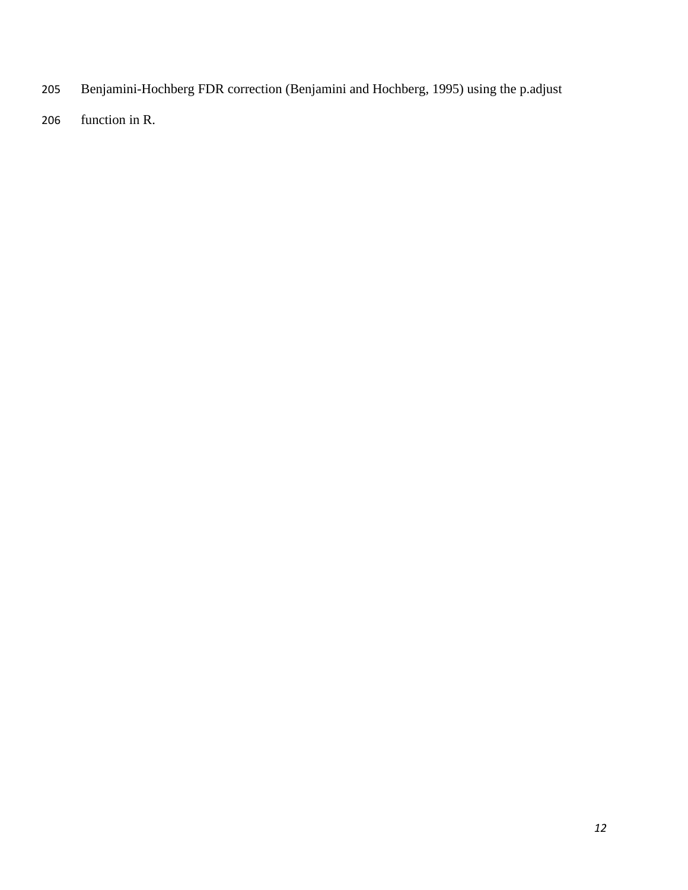- Benjamini-Hochberg FDR correction (Benjamini and Hochberg, 1995) using the p.adjust
- function in R.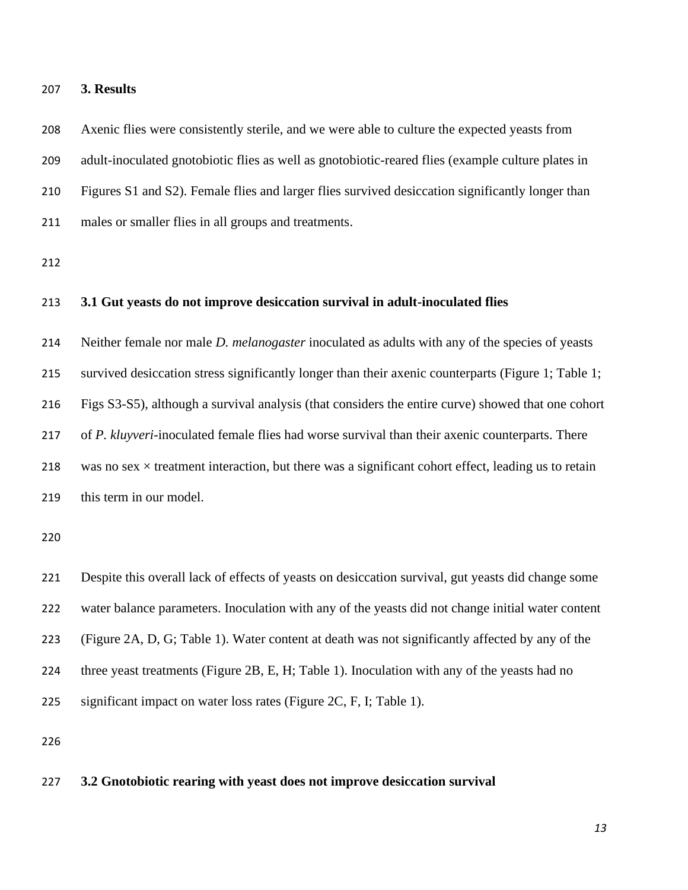#### **3. Results**

 Axenic flies were consistently sterile, and we were able to culture the expected yeasts from adult-inoculated gnotobiotic flies as well as gnotobiotic-reared flies (example culture plates in Figures S1 and S2). Female flies and larger flies survived desiccation significantly longer than males or smaller flies in all groups and treatments.

#### **3.1 Gut yeasts do not improve desiccation survival in adult-inoculated flies**

 Neither female nor male *D. melanogaster* inoculated as adults with any of the species of yeasts survived desiccation stress significantly longer than their axenic counterparts (Figure 1; Table 1; Figs S3-S5), although a survival analysis (that considers the entire curve) showed that one cohort of *P. kluyveri*-inoculated female flies had worse survival than their axenic counterparts. There 218 was no sex  $\times$  treatment interaction, but there was a significant cohort effect, leading us to retain this term in our model.

 Despite this overall lack of effects of yeasts on desiccation survival, gut yeasts did change some water balance parameters. Inoculation with any of the yeasts did not change initial water content (Figure 2A, D, G; Table 1). Water content at death was not significantly affected by any of the three yeast treatments (Figure 2B, E, H; Table 1). Inoculation with any of the yeasts had no significant impact on water loss rates (Figure 2C, F, I; Table 1).

#### **3.2 Gnotobiotic rearing with yeast does not improve desiccation survival**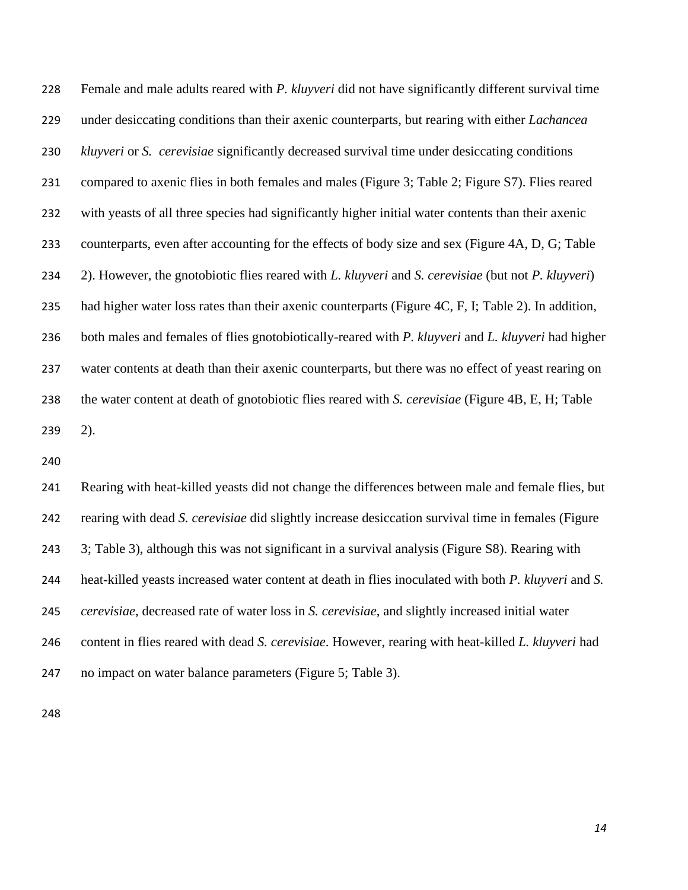Female and male adults reared with *P. kluyveri* did not have significantly different survival time under desiccating conditions than their axenic counterparts*,* but rearing with either *Lachancea kluyveri* or *S. cerevisiae* significantly decreased survival time under desiccating conditions compared to axenic flies in both females and males (Figure 3; Table 2; Figure S7). Flies reared with yeasts of all three species had significantly higher initial water contents than their axenic counterparts, even after accounting for the effects of body size and sex (Figure 4A, D, G; Table 2). However, the gnotobiotic flies reared with *L. kluyveri* and *S. cerevisiae* (but not *P. kluyveri*) had higher water loss rates than their axenic counterparts (Figure 4C, F, I; Table 2). In addition, both males and females of flies gnotobiotically-reared with *P. kluyveri* and *L. kluyveri* had higher water contents at death than their axenic counterparts, but there was no effect of yeast rearing on the water content at death of gnotobiotic flies reared with *S. cerevisiae* (Figure 4B, E, H; Table 2).

 Rearing with heat-killed yeasts did not change the differences between male and female flies, but rearing with dead *S. cerevisiae* did slightly increase desiccation survival time in females (Figure 3; Table 3), although this was not significant in a survival analysis (Figure S8). Rearing with heat-killed yeasts increased water content at death in flies inoculated with both *P. kluyveri* and *S. cerevisiae*, decreased rate of water loss in *S. cerevisiae*, and slightly increased initial water content in flies reared with dead *S. cerevisiae*. However, rearing with heat-killed *L. kluyveri* had no impact on water balance parameters (Figure 5; Table 3).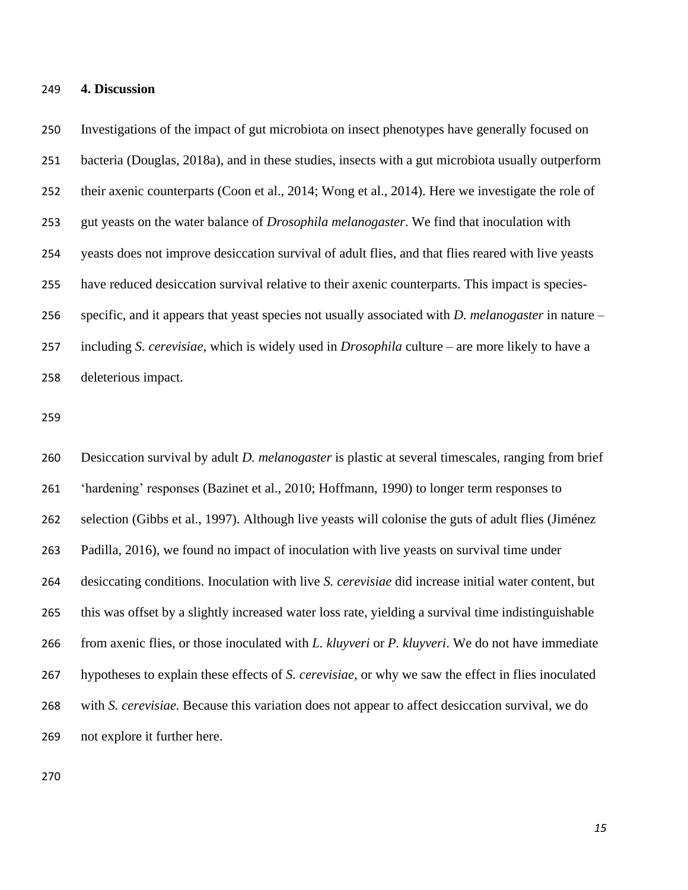#### **4. Discussion**

 Investigations of the impact of gut microbiota on insect phenotypes have generally focused on bacteria (Douglas, 2018a), and in these studies, insects with a gut microbiota usually outperform their axenic counterparts (Coon et al., 2014; Wong et al., 2014). Here we investigate the role of gut yeasts on the water balance of *Drosophila melanogaster*. We find that inoculation with yeasts does not improve desiccation survival of adult flies, and that flies reared with live yeasts have reduced desiccation survival relative to their axenic counterparts. This impact is species- specific, and it appears that yeast species not usually associated with *D. melanogaster* in nature – including *S. cerevisiae,* which is widely used in *Drosophila* culture – are more likely to have a deleterious impact.

 Desiccation survival by adult *D. melanogaster* is plastic at several timescales, ranging from brief 'hardening' responses (Bazinet et al., 2010; Hoffmann, 1990) to longer term responses to selection (Gibbs et al., 1997). Although live yeasts will colonise the guts of adult flies (Jiménez Padilla, 2016), we found no impact of inoculation with live yeasts on survival time under desiccating conditions. Inoculation with live *S. cerevisiae* did increase initial water content, but this was offset by a slightly increased water loss rate, yielding a survival time indistinguishable from axenic flies, or those inoculated with *L. kluyveri* or *P. kluyveri*. We do not have immediate hypotheses to explain these effects of *S. cerevisiae*, or why we saw the effect in flies inoculated with *S. cerevisiae.* Because this variation does not appear to affect desiccation survival, we do not explore it further here.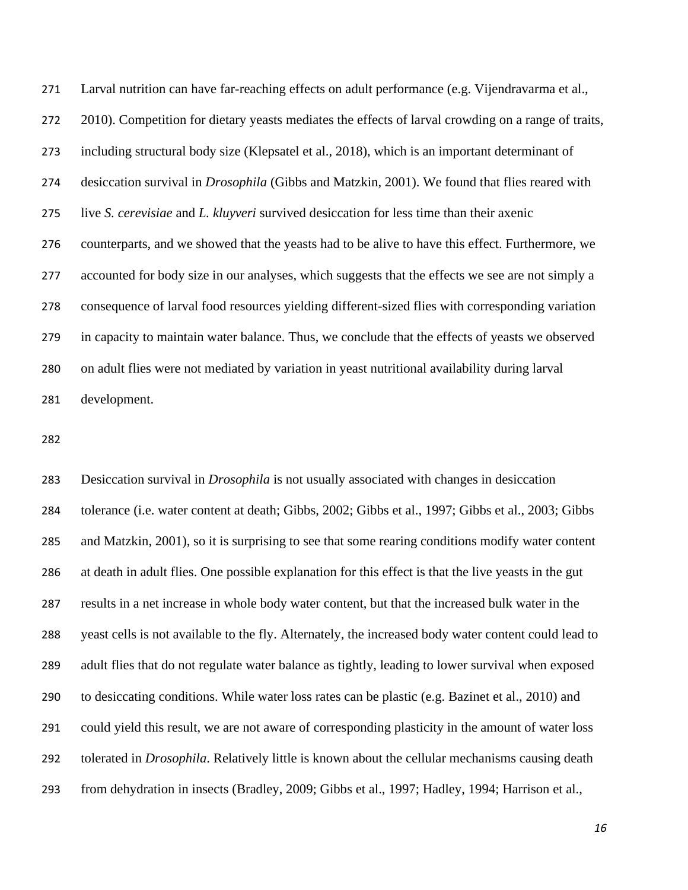Larval nutrition can have far-reaching effects on adult performance (e.g. Vijendravarma et al., 2010). Competition for dietary yeasts mediates the effects of larval crowding on a range of traits, including structural body size (Klepsatel et al., 2018), which is an important determinant of desiccation survival in *Drosophila* (Gibbs and Matzkin, 2001). We found that flies reared with live *S. cerevisiae* and *L. kluyveri* survived desiccation for less time than their axenic counterparts, and we showed that the yeasts had to be alive to have this effect. Furthermore, we accounted for body size in our analyses, which suggests that the effects we see are not simply a consequence of larval food resources yielding different-sized flies with corresponding variation in capacity to maintain water balance. Thus, we conclude that the effects of yeasts we observed on adult flies were not mediated by variation in yeast nutritional availability during larval development.

 Desiccation survival in *Drosophila* is not usually associated with changes in desiccation tolerance (i.e. water content at death; Gibbs, 2002; Gibbs et al., 1997; Gibbs et al., 2003; Gibbs and Matzkin, 2001), so it is surprising to see that some rearing conditions modify water content at death in adult flies. One possible explanation for this effect is that the live yeasts in the gut results in a net increase in whole body water content, but that the increased bulk water in the yeast cells is not available to the fly. Alternately, the increased body water content could lead to adult flies that do not regulate water balance as tightly, leading to lower survival when exposed to desiccating conditions. While water loss rates can be plastic (e.g. Bazinet et al., 2010) and could yield this result, we are not aware of corresponding plasticity in the amount of water loss tolerated in *Drosophila*. Relatively little is known about the cellular mechanisms causing death from dehydration in insects (Bradley, 2009; Gibbs et al., 1997; Hadley, 1994; Harrison et al.,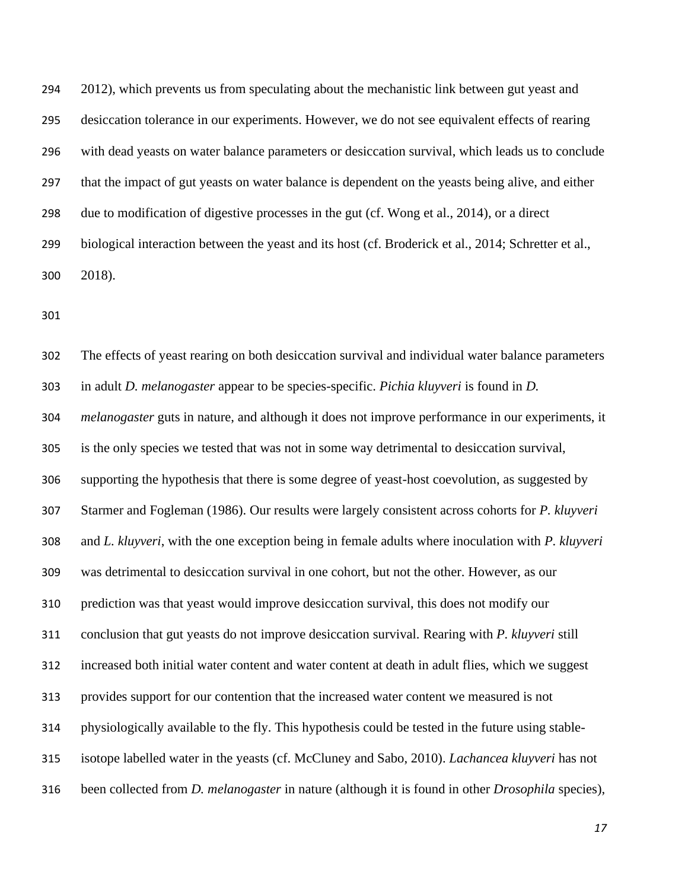294 2012), which prevents us from speculating about the mechanistic link between gut yeast and desiccation tolerance in our experiments. However, we do not see equivalent effects of rearing with dead yeasts on water balance parameters or desiccation survival, which leads us to conclude that the impact of gut yeasts on water balance is dependent on the yeasts being alive, and either due to modification of digestive processes in the gut (cf. Wong et al., 2014), or a direct biological interaction between the yeast and its host (cf. Broderick et al., 2014; Schretter et al., 2018).

 The effects of yeast rearing on both desiccation survival and individual water balance parameters in adult *D. melanogaster* appear to be species-specific. *Pichia kluyveri* is found in *D. melanogaster* guts in nature, and although it does not improve performance in our experiments, it is the only species we tested that was not in some way detrimental to desiccation survival, supporting the hypothesis that there is some degree of yeast-host coevolution, as suggested by Starmer and Fogleman (1986). Our results were largely consistent across cohorts for *P. kluyveri*  and *L. kluyveri*, with the one exception being in female adults where inoculation with *P. kluyveri* was detrimental to desiccation survival in one cohort, but not the other. However, as our prediction was that yeast would improve desiccation survival, this does not modify our conclusion that gut yeasts do not improve desiccation survival. Rearing with *P. kluyveri* still increased both initial water content and water content at death in adult flies, which we suggest provides support for our contention that the increased water content we measured is not physiologically available to the fly. This hypothesis could be tested in the future using stable- isotope labelled water in the yeasts (cf. McCluney and Sabo, 2010). *Lachancea kluyveri* has not been collected from *D. melanogaster* in nature (although it is found in other *Drosophila* species),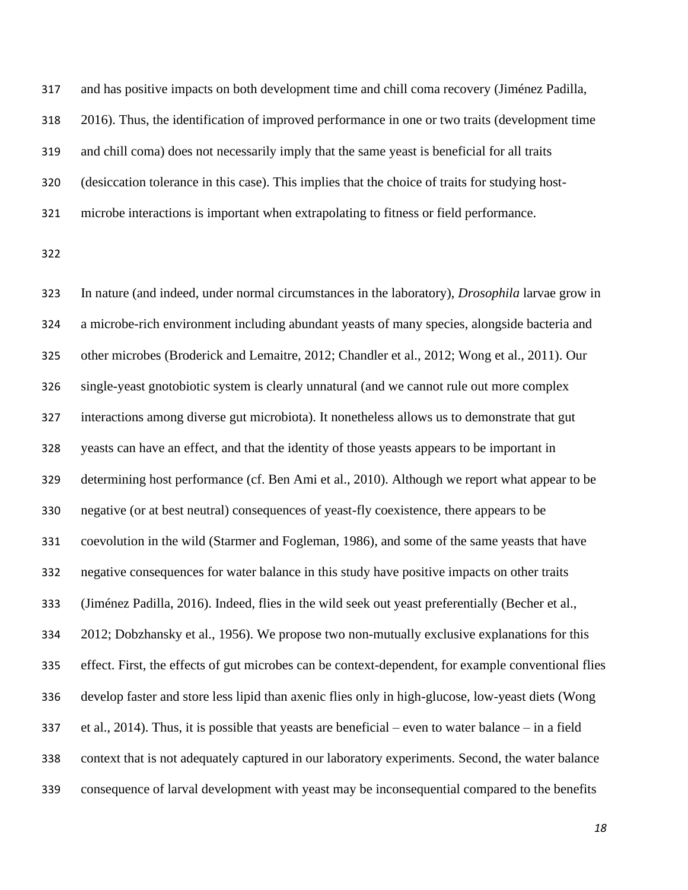and has positive impacts on both development time and chill coma recovery (Jiménez Padilla, 2016). Thus, the identification of improved performance in one or two traits (development time and chill coma) does not necessarily imply that the same yeast is beneficial for all traits (desiccation tolerance in this case). This implies that the choice of traits for studying host-microbe interactions is important when extrapolating to fitness or field performance.

 In nature (and indeed, under normal circumstances in the laboratory), *Drosophila* larvae grow in a microbe-rich environment including abundant yeasts of many species, alongside bacteria and other microbes (Broderick and Lemaitre, 2012; Chandler et al., 2012; Wong et al., 2011). Our single-yeast gnotobiotic system is clearly unnatural (and we cannot rule out more complex interactions among diverse gut microbiota). It nonetheless allows us to demonstrate that gut yeasts can have an effect, and that the identity of those yeasts appears to be important in determining host performance (cf. Ben Ami et al., 2010). Although we report what appear to be negative (or at best neutral) consequences of yeast-fly coexistence, there appears to be coevolution in the wild (Starmer and Fogleman, 1986), and some of the same yeasts that have negative consequences for water balance in this study have positive impacts on other traits (Jiménez Padilla, 2016). Indeed, flies in the wild seek out yeast preferentially (Becher et al., 2012; Dobzhansky et al., 1956). We propose two non-mutually exclusive explanations for this effect. First, the effects of gut microbes can be context-dependent, for example conventional flies develop faster and store less lipid than axenic flies only in high-glucose, low-yeast diets (Wong et al., 2014). Thus, it is possible that yeasts are beneficial – even to water balance – in a field context that is not adequately captured in our laboratory experiments. Second, the water balance consequence of larval development with yeast may be inconsequential compared to the benefits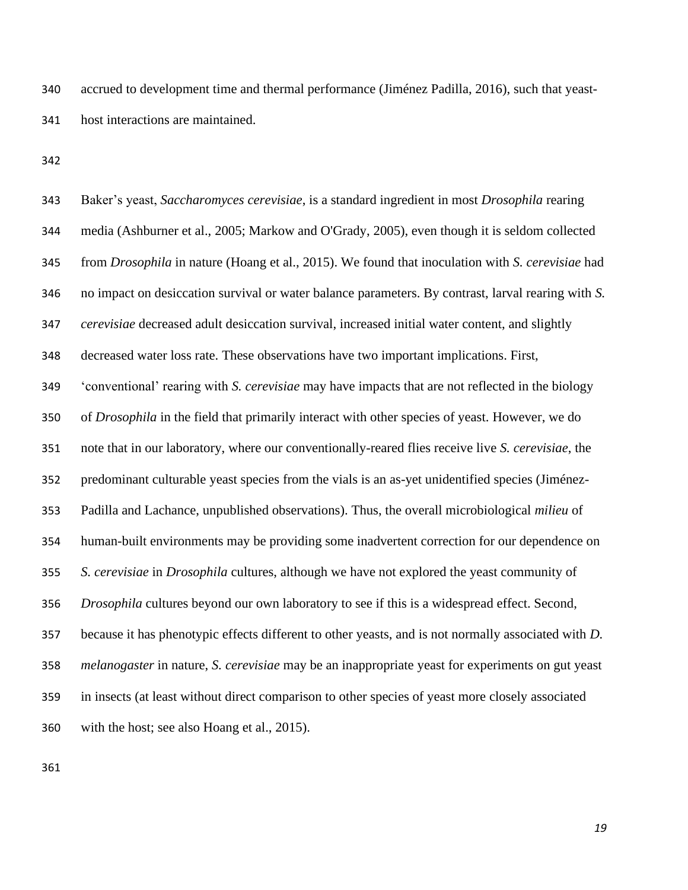accrued to development time and thermal performance (Jiménez Padilla, 2016), such that yeast-host interactions are maintained.

 Baker's yeast, *Saccharomyces cerevisiae*, is a standard ingredient in most *Drosophila* rearing media (Ashburner et al., 2005; Markow and O'Grady, 2005), even though it is seldom collected from *Drosophila* in nature (Hoang et al., 2015). We found that inoculation with *S. cerevisiae* had no impact on desiccation survival or water balance parameters. By contrast, larval rearing with *S. cerevisiae* decreased adult desiccation survival, increased initial water content, and slightly decreased water loss rate. These observations have two important implications. First, 'conventional' rearing with *S. cerevisiae* may have impacts that are not reflected in the biology of *Drosophila* in the field that primarily interact with other species of yeast. However, we do note that in our laboratory, where our conventionally-reared flies receive live *S. cerevisiae*, the predominant culturable yeast species from the vials is an as-yet unidentified species (Jiménez- Padilla and Lachance, unpublished observations). Thus, the overall microbiological *milieu* of human-built environments may be providing some inadvertent correction for our dependence on *S. cerevisiae* in *Drosophila* cultures, although we have not explored the yeast community of *Drosophila* cultures beyond our own laboratory to see if this is a widespread effect. Second, because it has phenotypic effects different to other yeasts, and is not normally associated with *D. melanogaster* in nature, *S. cerevisiae* may be an inappropriate yeast for experiments on gut yeast in insects (at least without direct comparison to other species of yeast more closely associated with the host; see also Hoang et al., 2015).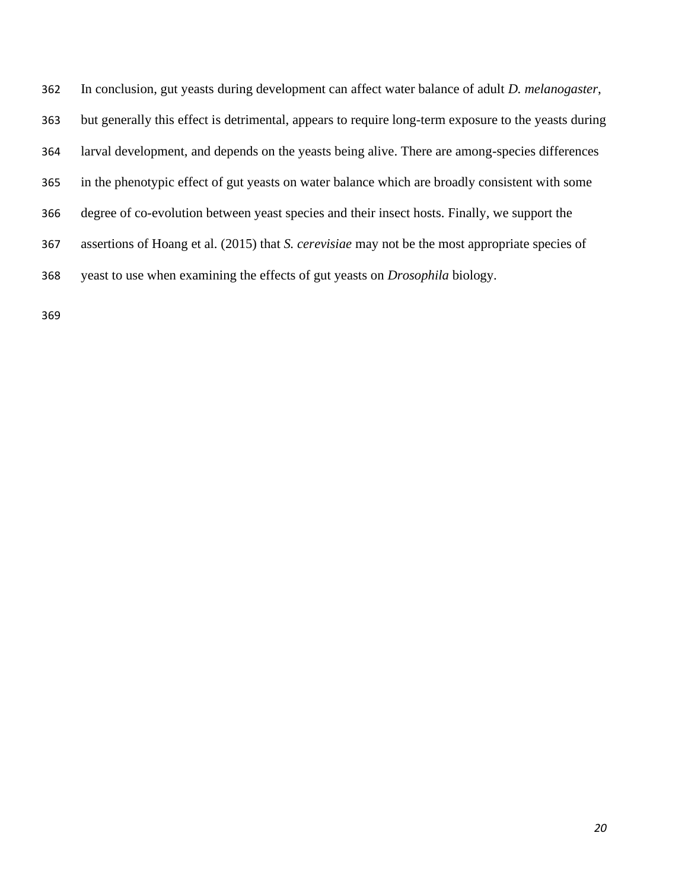In conclusion, gut yeasts during development can affect water balance of adult *D. melanogaster*, but generally this effect is detrimental, appears to require long-term exposure to the yeasts during larval development, and depends on the yeasts being alive. There are among-species differences in the phenotypic effect of gut yeasts on water balance which are broadly consistent with some degree of co-evolution between yeast species and their insect hosts. Finally, we support the assertions of Hoang et al. (2015) that *S. cerevisiae* may not be the most appropriate species of yeast to use when examining the effects of gut yeasts on *Drosophila* biology.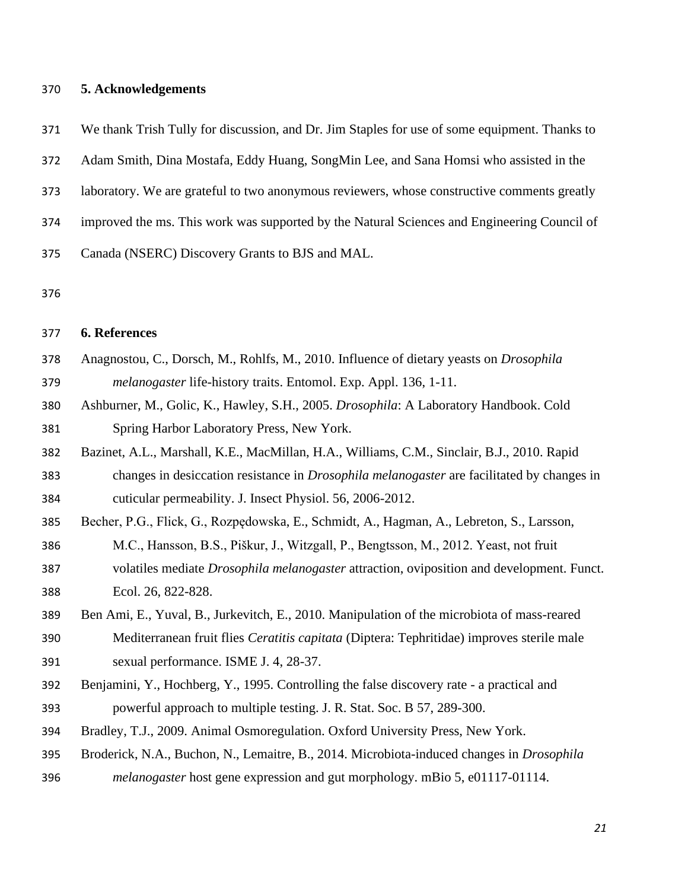#### **5. Acknowledgements**

We thank Trish Tully for discussion, and Dr. Jim Staples for use of some equipment. Thanks to

Adam Smith, Dina Mostafa, Eddy Huang, SongMin Lee, and Sana Homsi who assisted in the

laboratory. We are grateful to two anonymous reviewers, whose constructive comments greatly

improved the ms. This work was supported by the Natural Sciences and Engineering Council of

Canada (NSERC) Discovery Grants to BJS and MAL.

#### **6. References**

- Anagnostou, C., Dorsch, M., Rohlfs, M., 2010. Influence of dietary yeasts on *Drosophila melanogaster* life-history traits. Entomol. Exp. Appl. 136, 1-11.
- Ashburner, M., Golic, K., Hawley, S.H., 2005. *Drosophila*: A Laboratory Handbook. Cold Spring Harbor Laboratory Press, New York.
- Bazinet, A.L., Marshall, K.E., MacMillan, H.A., Williams, C.M., Sinclair, B.J., 2010. Rapid changes in desiccation resistance in *Drosophila melanogaster* are facilitated by changes in
- cuticular permeability. J. Insect Physiol. 56, 2006-2012.
- Becher, P.G., Flick, G., Rozpędowska, E., Schmidt, A., Hagman, A., Lebreton, S., Larsson,
- M.C., Hansson, B.S., Piškur, J., Witzgall, P., Bengtsson, M., 2012. Yeast, not fruit volatiles mediate *Drosophila melanogaster* attraction, oviposition and development. Funct.
- Ecol. 26, 822-828.
- Ben Ami, E., Yuval, B., Jurkevitch, E., 2010. Manipulation of the microbiota of mass-reared Mediterranean fruit flies *Ceratitis capitata* (Diptera: Tephritidae) improves sterile male sexual performance. ISME J. 4, 28-37.
- Benjamini, Y., Hochberg, Y., 1995. Controlling the false discovery rate a practical and powerful approach to multiple testing. J. R. Stat. Soc. B 57, 289-300.
- Bradley, T.J., 2009. Animal Osmoregulation. Oxford University Press, New York.
- Broderick, N.A., Buchon, N., Lemaitre, B., 2014. Microbiota-induced changes in *Drosophila*
- *melanogaster* host gene expression and gut morphology. mBio 5, e01117-01114.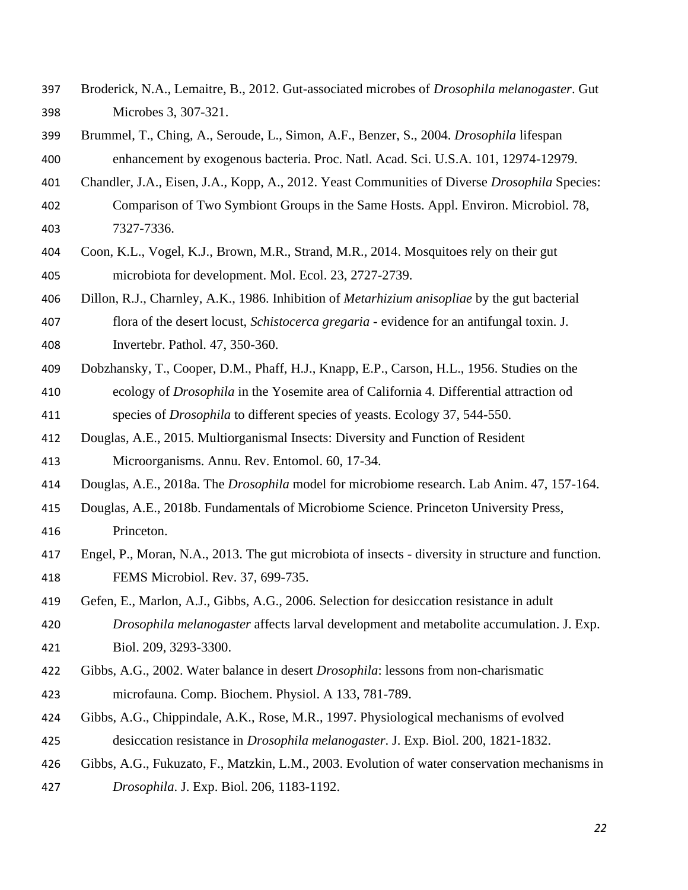- Broderick, N.A., Lemaitre, B., 2012. Gut-associated microbes of *Drosophila melanogaster*. Gut Microbes 3, 307-321.
- Brummel, T., Ching, A., Seroude, L., Simon, A.F., Benzer, S., 2004. *Drosophila* lifespan enhancement by exogenous bacteria. Proc. Natl. Acad. Sci. U.S.A. 101, 12974-12979.
- Chandler, J.A., Eisen, J.A., Kopp, A., 2012. Yeast Communities of Diverse *Drosophila* Species:
- Comparison of Two Symbiont Groups in the Same Hosts. Appl. Environ. Microbiol. 78, 7327-7336.
- Coon, K.L., Vogel, K.J., Brown, M.R., Strand, M.R., 2014. Mosquitoes rely on their gut microbiota for development. Mol. Ecol. 23, 2727-2739.
- Dillon, R.J., Charnley, A.K., 1986. Inhibition of *Metarhizium anisopliae* by the gut bacterial flora of the desert locust, *Schistocerca gregaria* - evidence for an antifungal toxin. J. Invertebr. Pathol. 47, 350-360.
- Dobzhansky, T., Cooper, D.M., Phaff, H.J., Knapp, E.P., Carson, H.L., 1956. Studies on the
- ecology of *Drosophila* in the Yosemite area of California 4. Differential attraction od species of *Drosophila* to different species of yeasts. Ecology 37, 544-550.
- Douglas, A.E., 2015. Multiorganismal Insects: Diversity and Function of Resident Microorganisms. Annu. Rev. Entomol. 60, 17-34.
- Douglas, A.E., 2018a. The *Drosophila* model for microbiome research. Lab Anim. 47, 157-164.
- Douglas, A.E., 2018b. Fundamentals of Microbiome Science. Princeton University Press, Princeton.
- Engel, P., Moran, N.A., 2013. The gut microbiota of insects diversity in structure and function. FEMS Microbiol. Rev. 37, 699-735.
- Gefen, E., Marlon, A.J., Gibbs, A.G., 2006. Selection for desiccation resistance in adult
- *Drosophila melanogaster* affects larval development and metabolite accumulation. J. Exp. Biol. 209, 3293-3300.
- Gibbs, A.G., 2002. Water balance in desert *Drosophila*: lessons from non-charismatic microfauna. Comp. Biochem. Physiol. A 133, 781-789.
- Gibbs, A.G., Chippindale, A.K., Rose, M.R., 1997. Physiological mechanisms of evolved desiccation resistance in *Drosophila melanogaster*. J. Exp. Biol. 200, 1821-1832.
- Gibbs, A.G., Fukuzato, F., Matzkin, L.M., 2003. Evolution of water conservation mechanisms in
- *Drosophila*. J. Exp. Biol. 206, 1183-1192.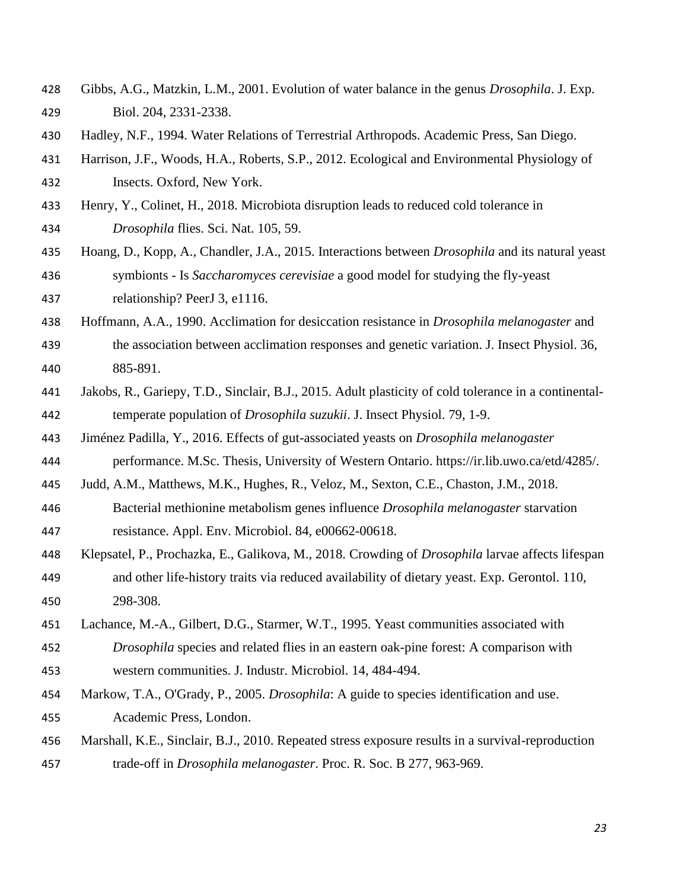- Gibbs, A.G., Matzkin, L.M., 2001. Evolution of water balance in the genus *Drosophila*. J. Exp. Biol. 204, 2331-2338.
- Hadley, N.F., 1994. Water Relations of Terrestrial Arthropods. Academic Press, San Diego.
- Harrison, J.F., Woods, H.A., Roberts, S.P., 2012. Ecological and Environmental Physiology of

Insects. Oxford, New York.

- Henry, Y., Colinet, H., 2018. Microbiota disruption leads to reduced cold tolerance in *Drosophila* flies. Sci. Nat. 105, 59.
- Hoang, D., Kopp, A., Chandler, J.A., 2015. Interactions between *Drosophila* and its natural yeast symbionts - Is *Saccharomyces cerevisiae* a good model for studying the fly-yeast relationship? PeerJ 3, e1116.
- Hoffmann, A.A., 1990. Acclimation for desiccation resistance in *Drosophila melanogaster* and
- the association between acclimation responses and genetic variation. J. Insect Physiol. 36, 885-891.
- Jakobs, R., Gariepy, T.D., Sinclair, B.J., 2015. Adult plasticity of cold tolerance in a continental-temperate population of *Drosophila suzukii*. J. Insect Physiol. 79, 1-9.
- Jiménez Padilla, Y., 2016. Effects of gut-associated yeasts on *Drosophila melanogaster*
- performance. M.Sc. Thesis, University of Western Ontario. https://ir.lib.uwo.ca/etd/4285/.

Judd, A.M., Matthews, M.K., Hughes, R., Veloz, M., Sexton, C.E., Chaston, J.M., 2018.

- Bacterial methionine metabolism genes influence *Drosophila melanogaster* starvation resistance. Appl. Env. Microbiol. 84, e00662-00618.
- Klepsatel, P., Prochazka, E., Galikova, M., 2018. Crowding of *Drosophila* larvae affects lifespan and other life-history traits via reduced availability of dietary yeast. Exp. Gerontol. 110, 298-308.
- Lachance, M.-A., Gilbert, D.G., Starmer, W.T., 1995. Yeast communities associated with
- *Drosophila* species and related flies in an eastern oak-pine forest: A comparison with western communities. J. Industr. Microbiol. 14, 484-494.
- Markow, T.A., O'Grady, P., 2005. *Drosophila*: A guide to species identification and use. Academic Press, London.
- Marshall, K.E., Sinclair, B.J., 2010. Repeated stress exposure results in a survival-reproduction trade-off in *Drosophila melanogaster*. Proc. R. Soc. B 277, 963-969.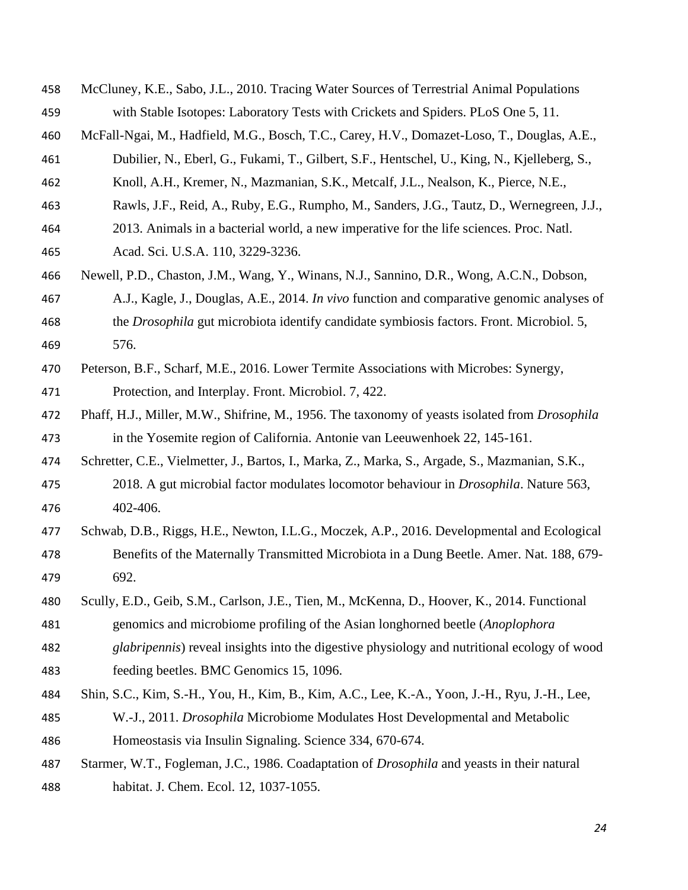- McCluney, K.E., Sabo, J.L., 2010. Tracing Water Sources of Terrestrial Animal Populations with Stable Isotopes: Laboratory Tests with Crickets and Spiders. PLoS One 5, 11.
- McFall-Ngai, M., Hadfield, M.G., Bosch, T.C., Carey, H.V., Domazet-Loso, T., Douglas, A.E.,
- Dubilier, N., Eberl, G., Fukami, T., Gilbert, S.F., Hentschel, U., King, N., Kjelleberg, S.,
- Knoll, A.H., Kremer, N., Mazmanian, S.K., Metcalf, J.L., Nealson, K., Pierce, N.E.,
- Rawls, J.F., Reid, A., Ruby, E.G., Rumpho, M., Sanders, J.G., Tautz, D., Wernegreen, J.J.,
- 2013. Animals in a bacterial world, a new imperative for the life sciences. Proc. Natl.
- Acad. Sci. U.S.A. 110, 3229-3236.
- Newell, P.D., Chaston, J.M., Wang, Y., Winans, N.J., Sannino, D.R., Wong, A.C.N., Dobson,
- A.J., Kagle, J., Douglas, A.E., 2014. *In vivo* function and comparative genomic analyses of
- the *Drosophila* gut microbiota identify candidate symbiosis factors. Front. Microbiol. 5, 576.
- Peterson, B.F., Scharf, M.E., 2016. Lower Termite Associations with Microbes: Synergy, Protection, and Interplay. Front. Microbiol. 7, 422.
- Phaff, H.J., Miller, M.W., Shifrine, M., 1956. The taxonomy of yeasts isolated from *Drosophila* in the Yosemite region of California. Antonie van Leeuwenhoek 22, 145-161.
- Schretter, C.E., Vielmetter, J., Bartos, I., Marka, Z., Marka, S., Argade, S., Mazmanian, S.K.,
- 2018. A gut microbial factor modulates locomotor behaviour in *Drosophila*. Nature 563, 402-406.
- Schwab, D.B., Riggs, H.E., Newton, I.L.G., Moczek, A.P., 2016. Developmental and Ecological Benefits of the Maternally Transmitted Microbiota in a Dung Beetle. Amer. Nat. 188, 679- 692.
- Scully, E.D., Geib, S.M., Carlson, J.E., Tien, M., McKenna, D., Hoover, K., 2014. Functional
- genomics and microbiome profiling of the Asian longhorned beetle (*Anoplophora*
- *glabripennis*) reveal insights into the digestive physiology and nutritional ecology of wood feeding beetles. BMC Genomics 15, 1096.
- Shin, S.C., Kim, S.-H., You, H., Kim, B., Kim, A.C., Lee, K.-A., Yoon, J.-H., Ryu, J.-H., Lee,
- W.-J., 2011. *Drosophila* Microbiome Modulates Host Developmental and Metabolic Homeostasis via Insulin Signaling. Science 334, 670-674.
- Starmer, W.T., Fogleman, J.C., 1986. Coadaptation of *Drosophila* and yeasts in their natural habitat. J. Chem. Ecol. 12, 1037-1055.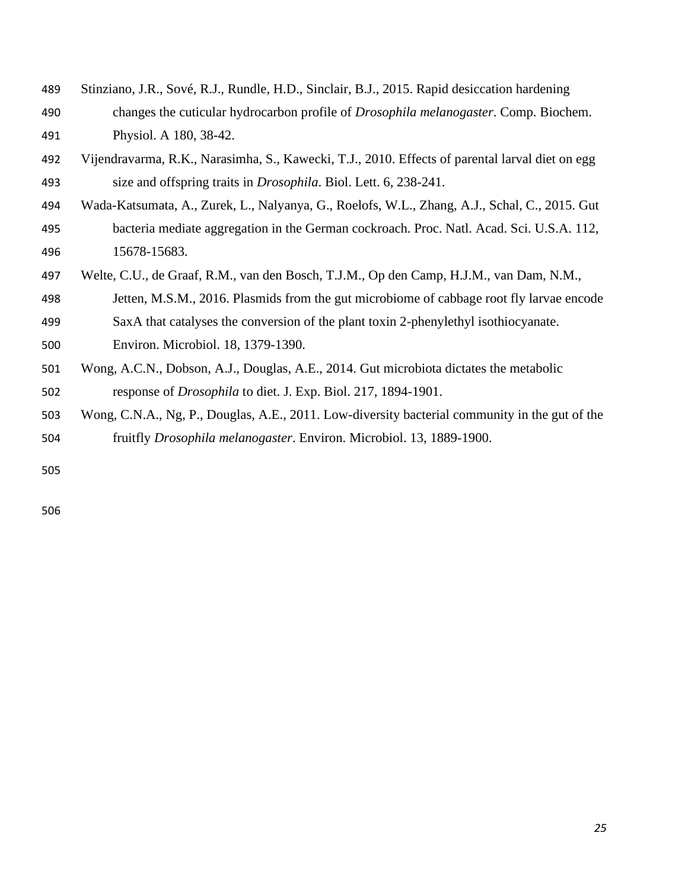- Stinziano, J.R., Sové, R.J., Rundle, H.D., Sinclair, B.J., 2015. Rapid desiccation hardening changes the cuticular hydrocarbon profile of *Drosophila melanogaster*. Comp. Biochem.
- Physiol. A 180, 38-42.
- Vijendravarma, R.K., Narasimha, S., Kawecki, T.J., 2010. Effects of parental larval diet on egg size and offspring traits in *Drosophila*. Biol. Lett. 6, 238-241.
- Wada-Katsumata, A., Zurek, L., Nalyanya, G., Roelofs, W.L., Zhang, A.J., Schal, C., 2015. Gut bacteria mediate aggregation in the German cockroach. Proc. Natl. Acad. Sci. U.S.A. 112, 15678-15683.
- Welte, C.U., de Graaf, R.M., van den Bosch, T.J.M., Op den Camp, H.J.M., van Dam, N.M.,
- Jetten, M.S.M., 2016. Plasmids from the gut microbiome of cabbage root fly larvae encode
- SaxA that catalyses the conversion of the plant toxin 2-phenylethyl isothiocyanate.
- Environ. Microbiol. 18, 1379-1390.
- Wong, A.C.N., Dobson, A.J., Douglas, A.E., 2014. Gut microbiota dictates the metabolic response of *Drosophila* to diet. J. Exp. Biol. 217, 1894-1901.
- Wong, C.N.A., Ng, P., Douglas, A.E., 2011. Low-diversity bacterial community in the gut of the fruitfly *Drosophila melanogaster*. Environ. Microbiol. 13, 1889-1900.
-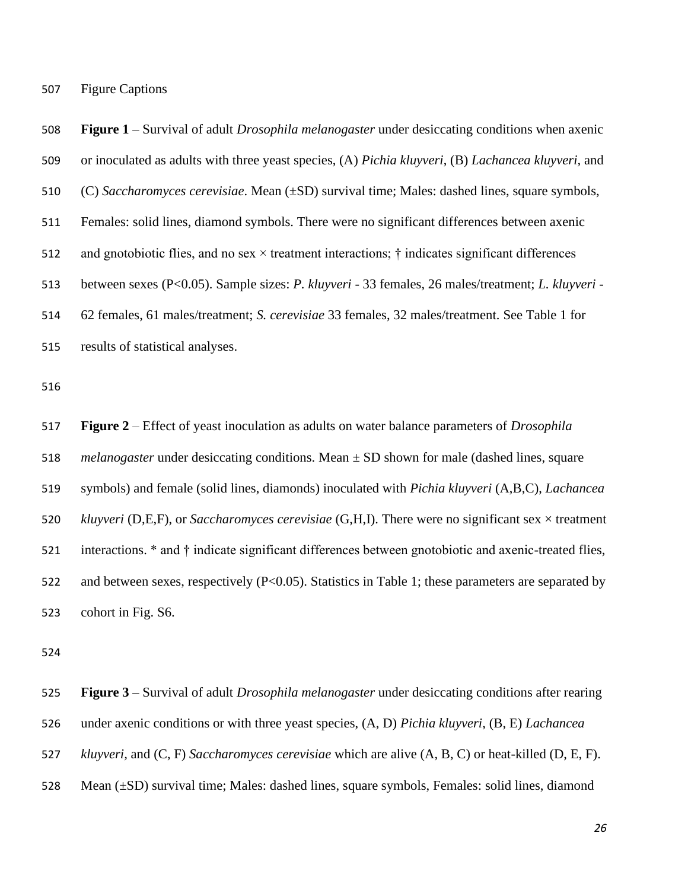Figure Captions

 **Figure 1** – Survival of adult *Drosophila melanogaster* under desiccating conditions when axenic or inoculated as adults with three yeast species, (A) *Pichia kluyveri*, (B) *Lachancea kluyveri,* and (C) *Saccharomyces cerevisiae*. Mean (±SD) survival time; Males: dashed lines, square symbols, Females: solid lines, diamond symbols. There were no significant differences between axenic 512 and gnotobiotic flies, and no sex  $\times$  treatment interactions;  $\dagger$  indicates significant differences between sexes (P<0.05). Sample sizes: *P. kluyveri* - 33 females, 26 males/treatment; *L. kluyveri -* 62 females, 61 males/treatment; *S. cerevisiae* 33 females, 32 males/treatment. See Table 1 for results of statistical analyses.

 **Figure 2** – Effect of yeast inoculation as adults on water balance parameters of *Drosophila melanogaster* under desiccating conditions. Mean ± SD shown for male (dashed lines, square symbols) and female (solid lines, diamonds) inoculated with *Pichia kluyveri* (A,B,C), *Lachancea kluyveri* (D,E,F), or *Saccharomyces cerevisiae* (G,H,I). There were no significant sex × treatment interactions. \* and † indicate significant differences between gnotobiotic and axenic-treated flies, and between sexes, respectively (P<0.05). Statistics in Table 1; these parameters are separated by cohort in Fig. S6.

 **Figure 3** – Survival of adult *Drosophila melanogaster* under desiccating conditions after rearing under axenic conditions or with three yeast species, (A, D) *Pichia kluyveri*, (B, E) *Lachancea kluyveri,* and (C, F) *Saccharomyces cerevisiae* which are alive (A, B, C) or heat-killed (D, E, F). Mean (±SD) survival time; Males: dashed lines, square symbols, Females: solid lines, diamond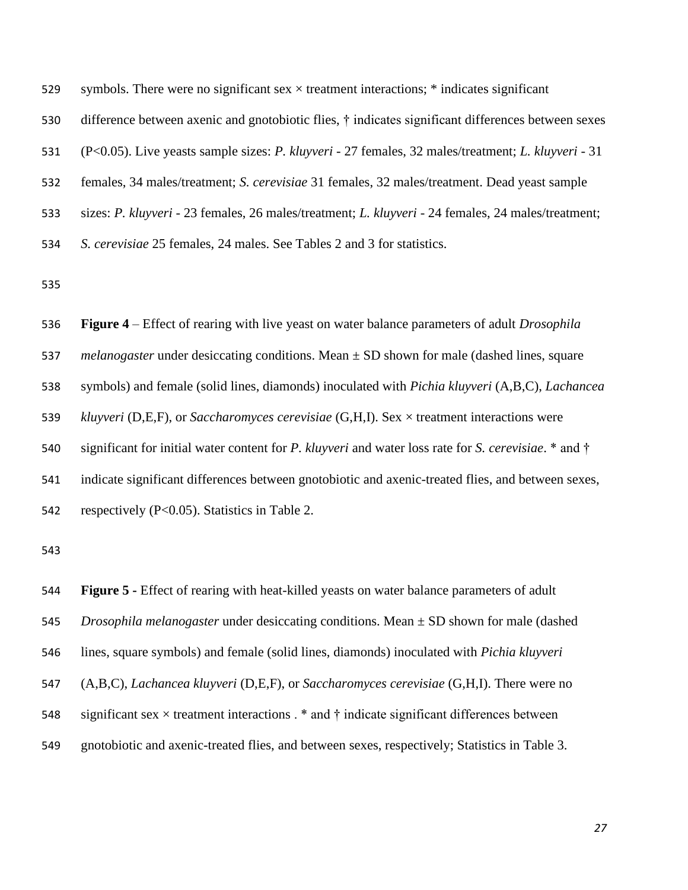| 529 | symbols. There were no significant sex $\times$ treatment interactions; $*$ indicates significant            |
|-----|--------------------------------------------------------------------------------------------------------------|
| 530 | difference between axenic and gnotobiotic flies, † indicates significant differences between sexes           |
| 531 | (P<0.05). Live yeasts sample sizes: P. kluyveri - 27 females, 32 males/treatment; L. kluyveri - 31           |
| 532 | females, 34 males/treatment; S. cerevisiae 31 females, 32 males/treatment. Dead yeast sample                 |
| 533 | sizes: P. kluyveri - 23 females, 26 males/treatment; L. kluyveri - 24 females, 24 males/treatment;           |
| 534 | S. cerevisiae 25 females, 24 males. See Tables 2 and 3 for statistics.                                       |
| 535 |                                                                                                              |
| 536 | <b>Figure 4</b> – Effect of rearing with live yeast on water balance parameters of adult <i>Drosophila</i>   |
| 537 | <i>melanogaster</i> under desiccating conditions. Mean $\pm$ SD shown for male (dashed lines, square         |
| 538 | symbols) and female (solid lines, diamonds) inoculated with <i>Pichia kluyveri</i> (A,B,C), <i>Lachancea</i> |
| 539 | kluyveri (D,E,F), or Saccharomyces cerevisiae (G,H,I). Sex $\times$ treatment interactions were              |

significant for initial water content for *P. kluyveri* and water loss rate for *S. cerevisiae*. \* and †

indicate significant differences between gnotobiotic and axenic-treated flies, and between sexes,

respectively (P<0.05). Statistics in Table 2.

 **Figure 5 -** Effect of rearing with heat-killed yeasts on water balance parameters of adult *Drosophila melanogaster* under desiccating conditions. Mean ± SD shown for male (dashed lines, square symbols) and female (solid lines, diamonds) inoculated with *Pichia kluyveri* (A,B,C), *Lachancea kluyveri* (D,E,F), or *Saccharomyces cerevisiae* (G,H,I). There were no 548 significant sex  $\times$  treatment interactions  $.*$  and  $\dagger$  indicate significant differences between gnotobiotic and axenic-treated flies, and between sexes, respectively; Statistics in Table 3.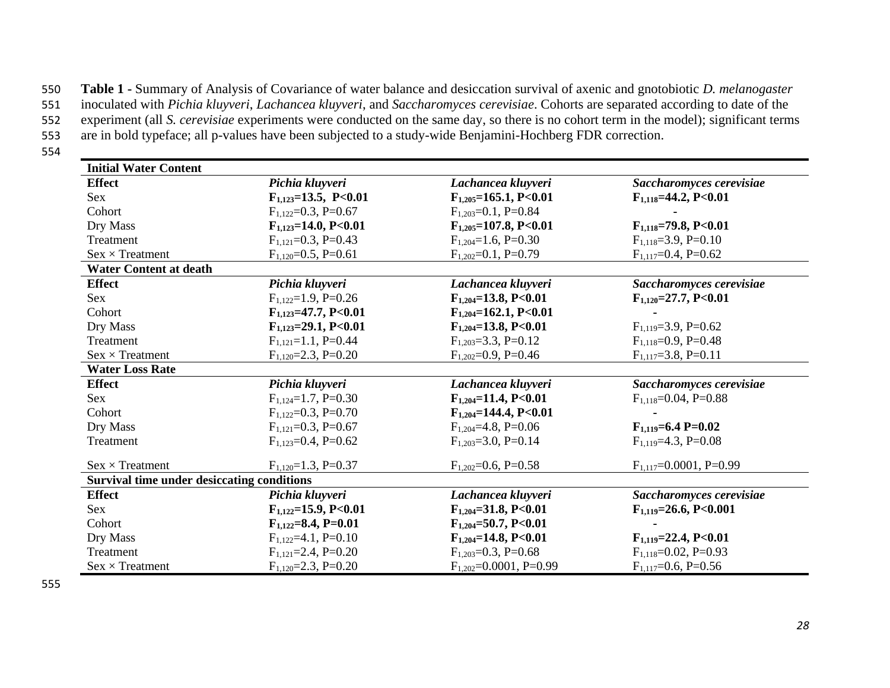550 **Table 1 -** Summary of Analysis of Covariance of water balance and desiccation survival of axenic and gnotobiotic *D. melanogaster* 

551 inoculated with *Pichia kluyveri*, *Lachancea kluyveri*, and *Saccharomyces cerevisiae*. Cohorts are separated according to date of the

552 experiment (all *S. cerevisiae* experiments were conducted on the same day, so there is no cohort term in the model); significant terms

553 are in bold typeface; all p-values have been subjected to a study-wide Benjamini-Hochberg FDR correction.

554

| <b>Initial Water Content</b>                      |                            |                              |                              |  |  |
|---------------------------------------------------|----------------------------|------------------------------|------------------------------|--|--|
| <b>Effect</b>                                     | Pichia kluyveri            | Lachancea kluyveri           | Saccharomyces cerevisiae     |  |  |
| Sex                                               | $F_{1,123}=13.5, P<0.01$   | $F_{1,205}$ =165.1, P<0.01   | $F_{1,118} = 44.2, P < 0.01$ |  |  |
| Cohort                                            | $F_{1.122}=0.3, P=0.67$    | $F_{1,203}=0.1$ , P=0.84     |                              |  |  |
| Dry Mass                                          | $F_{1,123}=14.0, P<0.01$   | $F_{1,205}$ =107.8, P<0.01   | $F_{1,118}=79.8, P<0.01$     |  |  |
| Treatment                                         | $F_{1,121}=0.3, P=0.43$    | $F_{1,204} = 1.6$ , P=0.30   | $F_{1,118}=3.9, P=0.10$      |  |  |
| $Sex \times Treatment$                            | $F_{1,120} = 0.5$ , P=0.61 | $F_{1,202}=0.1, P=0.79$      | $F_{1,117}=0.4, P=0.62$      |  |  |
| <b>Water Content at death</b>                     |                            |                              |                              |  |  |
| <b>Effect</b>                                     | Pichia kluyveri            | Lachancea kluyveri           | Saccharomyces cerevisiae     |  |  |
| <b>Sex</b>                                        | $F_{1,122}=1.9, P=0.26$    | $F_{1,204} = 13.8, P<0.01$   | $F_{1,120} = 27.7, P < 0.01$ |  |  |
| Cohort                                            | $F_{1,123}=47.7, P<0.01$   | $F_{1,204}$ =162.1, P<0.01   |                              |  |  |
| Dry Mass                                          | $F_{1,123}=29.1, P<0.01$   | $F_{1,204} = 13.8, P < 0.01$ | $F_{1,119} = 3.9, P = 0.62$  |  |  |
| Treatment                                         | $F_{1,121}=1.1, P=0.44$    | $F_{1,203} = 3.3$ , P=0.12   | $F_{1,118}=0.9, P=0.48$      |  |  |
| $Sex \times Treatment$                            | $F_{1,120} = 2.3$ , P=0.20 | $F_{1,202}=0.9, P=0.46$      | $F_{1,117}=3.8, P=0.11$      |  |  |
| <b>Water Loss Rate</b>                            |                            |                              |                              |  |  |
| <b>Effect</b>                                     | Pichia kluyveri            | Lachancea kluyveri           | Saccharomyces cerevisiae     |  |  |
| <b>Sex</b>                                        | $F_{1,124}=1.7, P=0.30$    | $F_{1,204} = 11.4, P<0.01$   | $F_{1,118}=0.04, P=0.88$     |  |  |
| Cohort                                            | $F_{1,122}=0.3, P=0.70$    | $F_{1,204}$ =144.4, P<0.01   |                              |  |  |
| Dry Mass                                          | $F_{1.121} = 0.3$ , P=0.67 | $F_{1,204} = 4.8$ , P=0.06   | $F_{1,119} = 6.4 P = 0.02$   |  |  |
| Treatment                                         | $F_{1,123}=0.4, P=0.62$    | $F_{1,203} = 3.0$ , P=0.14   | $F_{1.119} = 4.3, P = 0.08$  |  |  |
| $Sex \times Treatment$                            | $F_{1,120} = 1.3$ , P=0.37 | $F_{1,202}=0.6, P=0.58$      | $F_{1,117}=0.0001, P=0.99$   |  |  |
| <b>Survival time under desiccating conditions</b> |                            |                              |                              |  |  |
| <b>Effect</b>                                     | Pichia kluyveri            | Lachancea kluyveri           | Saccharomyces cerevisiae     |  |  |
| <b>Sex</b>                                        | $F_{1,122}=15.9, P<0.01$   | $F_{1,204} = 31.8, P < 0.01$ | $F_{1,119}=26.6, P<0.001$    |  |  |
| Cohort                                            | $F_{1,122}=8.4, P=0.01$    | $F_{1,204} = 50.7, P < 0.01$ |                              |  |  |
| Dry Mass                                          | $F_{1,122}=4.1, P=0.10$    | $F_{1,204} = 14.8, P < 0.01$ | $F_{1,119} = 22.4, P < 0.01$ |  |  |
| Treatment                                         | $F_{1,121}=2.4, P=0.20$    | $F_{1,203}=0.3, P=0.68$      | $F_{1,118}=0.02, P=0.93$     |  |  |
| $Sex \times Treatment$                            | $F_{1,120} = 2.3$ , P=0.20 | $F_{1,202}=0.0001, P=0.99$   | $F_{1,117}=0.6, P=0.56$      |  |  |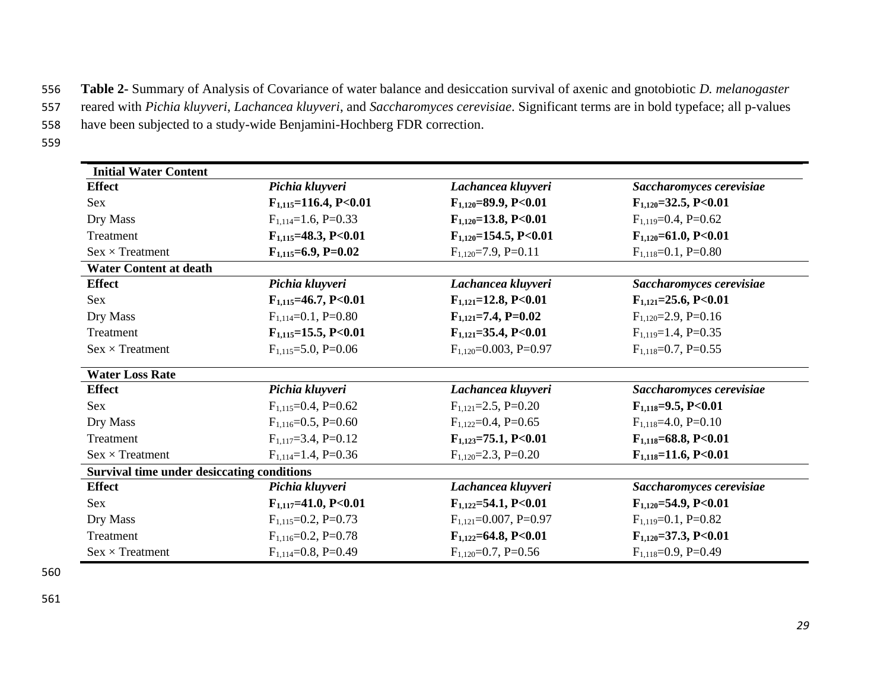556 **Table 2-** Summary of Analysis of Covariance of water balance and desiccation survival of axenic and gnotobiotic *D. melanogaster* 

- 557 reared with *Pichia kluyveri*, *Lachancea kluyveri*, and *Saccharomyces cerevisiae*. Significant terms are in bold typeface; all p-values
- 558 have been subjected to a study-wide Benjamini-Hochberg FDR correction.
- 559

| <b>Initial Water Content</b>                      |                              |                               |                              |  |  |
|---------------------------------------------------|------------------------------|-------------------------------|------------------------------|--|--|
| <b>Effect</b>                                     | Pichia kluyveri              | Lachancea kluyveri            | Saccharomyces cerevisiae     |  |  |
| Sex                                               | $F_{1,115}=116.4, P<0.01$    | $F_{1,120} = 89.9, P < 0.01$  | $F_{1,120} = 32.5, P < 0.01$ |  |  |
| Dry Mass                                          | $F_{1,114}=1.6, P=0.33$      | $F_{1,120} = 13.8, P < 0.01$  | $F_{1,119}=0.4, P=0.62$      |  |  |
| Treatment                                         | $F_{1,115} = 48.3, P < 0.01$ | $F_{1,120} = 154.5, P < 0.01$ | $F_{1,120} = 61.0, P<0.01$   |  |  |
| $Sex \times Treatment$                            | $F_{1,115}=6.9, P=0.02$      | $F_{1,120} = 7.9$ , P=0.11    | $F_{1,118}=0.1, P=0.80$      |  |  |
| <b>Water Content at death</b>                     |                              |                               |                              |  |  |
| <b>Effect</b>                                     | Pichia kluyveri              | Lachancea kluyveri            | Saccharomyces cerevisiae     |  |  |
| <b>Sex</b>                                        | $F_{1,115} = 46.7, P < 0.01$ | $F_{1,121} = 12.8, P < 0.01$  | $F_{1,121} = 25.6, P < 0.01$ |  |  |
| Dry Mass                                          | $F_{1,114}=0.1, P=0.80$      | $F_{1,121} = 7.4, P = 0.02$   | $F_{1,120} = 2.9$ , P=0.16   |  |  |
| Treatment                                         | $F_{1,115} = 15.5, P < 0.01$ | $F_{1,121} = 35.4, P < 0.01$  | $F_{1,119} = 1.4$ , P=0.35   |  |  |
| $Sex \times Treatment$                            | $F_{1,115} = 5.0, P = 0.06$  | $F_{1,120} = 0.003$ , P=0.97  | $F_{1,118}=0.7, P=0.55$      |  |  |
| <b>Water Loss Rate</b>                            |                              |                               |                              |  |  |
| <b>Effect</b>                                     | Pichia kluyveri              | Lachancea kluyveri            | Saccharomyces cerevisiae     |  |  |
| <b>Sex</b>                                        | $F_{1,115}=0.4, P=0.62$      | $F_{1,121}=2.5$ , P=0.20      | $F_{1,118}=9.5, P<0.01$      |  |  |
| Dry Mass                                          | $F_{1,116} = 0.5$ , P=0.60   | $F_{1,122}=0.4, P=0.65$       | $F_{1,118}=4.0, P=0.10$      |  |  |
| Treatment                                         | $F_{1,117}=3.4, P=0.12$      | $F_{1,123}=75.1, P<0.01$      | $F_{1,118}=68.8, P<0.01$     |  |  |
| $Sex \times Treatment$                            | $F_{1,114}=1.4, P=0.36$      | $F_{1,120} = 2.3, P = 0.20$   | $F_{1,118}=11.6, P<0.01$     |  |  |
| <b>Survival time under desiccating conditions</b> |                              |                               |                              |  |  |
| <b>Effect</b>                                     | Pichia kluyveri              | Lachancea kluyveri            | Saccharomyces cerevisiae     |  |  |
| Sex                                               | $F_{1,117} = 41.0, P < 0.01$ | $F_{1,122} = 54.1, P < 0.01$  | $F_{1,120} = 54.9, P < 0.01$ |  |  |
| Dry Mass                                          | $F_{1,115}=0.2, P=0.73$      | $F_{1,121}$ =0.007, P=0.97    | $F_{1,119}=0.1, P=0.82$      |  |  |
| Treatment                                         | $F_{1,116}=0.2, P=0.78$      | $F_{1,122}=64.8, P<0.01$      | $F_{1,120} = 37.3, P < 0.01$ |  |  |
| $Sex \times Treatment$                            | $F_{1,114}=0.8, P=0.49$      | $F_{1,120} = 0.7$ , P=0.56    | $F_{1,118}=0.9, P=0.49$      |  |  |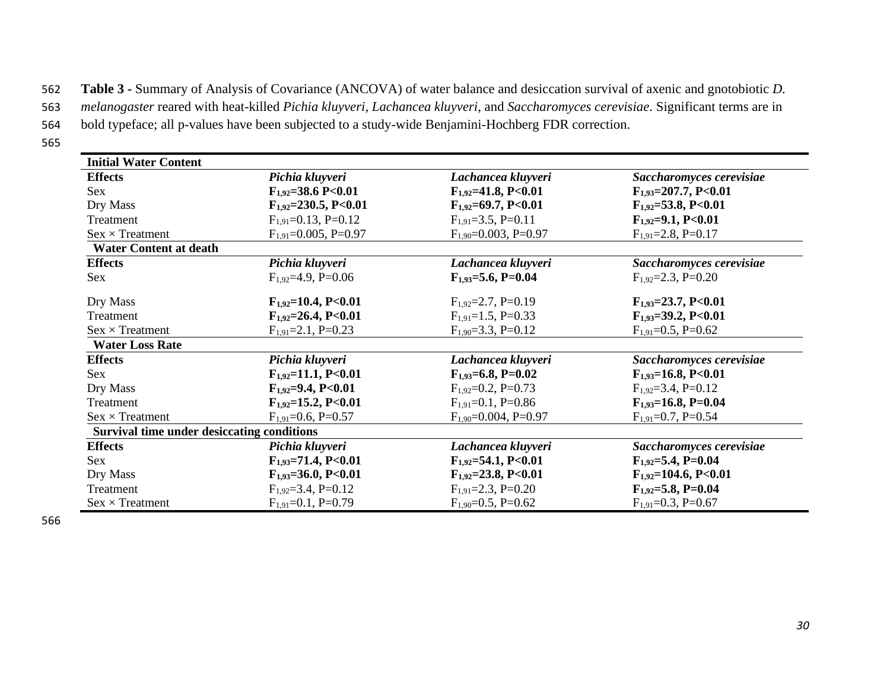562 **Table 3 -** Summary of Analysis of Covariance (ANCOVA) of water balance and desiccation survival of axenic and gnotobiotic *D.* 

563 *melanogaster* reared with heat-killed *Pichia kluyveri*, *Lachancea kluyveri*, and *Saccharomyces cerevisiae*. Significant terms are in

564 bold typeface; all p-values have been subjected to a study-wide Benjamini-Hochberg FDR correction.

565

| <b>Initial Water Content</b>                      |                              |                             |                             |  |
|---------------------------------------------------|------------------------------|-----------------------------|-----------------------------|--|
| <b>Effects</b>                                    | Pichia kluyveri              | Lachancea kluyveri          | Saccharomyces cerevisiae    |  |
| Sex                                               | $F_{1.92} = 38.6$ P<0.01     | $F_{1.92} = 41.8, P < 0.01$ | $F_{1,93}=207.7, P<0.01$    |  |
| Dry Mass                                          | $F_{1,92} = 230.5, P < 0.01$ | $F_{1,92} = 69.7, P < 0.01$ | $F_{1,92} = 53.8, P < 0.01$ |  |
| Treatment                                         | $F_{1.91}$ =0.13, P=0.12     | $F_{1.91} = 3.5$ , P=0.11   | $F_{1,92} = 9.1, P < 0.01$  |  |
| $Sex \times Treatment$                            | $F_{1,91}$ =0.005, P=0.97    | $F_{1,90} = 0.003$ , P=0.97 | $F_{1,91} = 2.8$ , P=0.17   |  |
| <b>Water Content at death</b>                     |                              |                             |                             |  |
| <b>Effects</b>                                    | Pichia kluyveri              | Lachancea kluyveri          | Saccharomyces cerevisiae    |  |
| Sex                                               | $F_{1,92} = 4.9, P = 0.06$   | $F_{1,93} = 5.6, P = 0.04$  | $F_{1.92} = 2.3$ , P=0.20   |  |
| Dry Mass                                          | $F_{1,92}=10.4, P<0.01$      | $F_{1.92} = 2.7$ , P=0.19   | $F_{1,93}=23.7, P<0.01$     |  |
| Treatment                                         | $F_{1,92}=26.4, P<0.01$      | $F_{1,91} = 1.5$ , P=0.33   | $F_{1,93} = 39.2, P < 0.01$ |  |
| $Sex \times Treatment$                            | $F_{1,91} = 2.1, P = 0.23$   | $F_{1,90} = 3.3$ , P=0.12   | $F_{1,91} = 0.5$ , P=0.62   |  |
| <b>Water Loss Rate</b>                            |                              |                             |                             |  |
| <b>Effects</b>                                    | Pichia kluyveri              | Lachancea kluyveri          | Saccharomyces cerevisiae    |  |
| Sex                                               | $F_{1,92} = 11.1, P<0.01$    | $F_{1,93}=6.8, P=0.02$      | $F_{1,93}=16.8, P<0.01$     |  |
| Dry Mass                                          | $F_{1,92}=9.4, P<0.01$       | $F_{1.92} = 0.2$ , P=0.73   | $F_{1,92}=3.4, P=0.12$      |  |
| Treatment                                         | $F_{1,92} = 15.2, P < 0.01$  | $F_{1.91}$ =0.1, P=0.86     | $F_{1,93}=16.8, P=0.04$     |  |
| $Sex \times Treatment$                            | $F_{1,91}$ =0.6, P=0.57      | $F_{1,90} = 0.004$ , P=0.97 | $F_{1,91}$ =0.7, P=0.54     |  |
| <b>Survival time under desiccating conditions</b> |                              |                             |                             |  |
| <b>Effects</b>                                    | Pichia kluyveri              | Lachancea kluyveri          | Saccharomyces cerevisiae    |  |
| Sex                                               | $F_{1,93}=71.4, P<0.01$      | $F_{1,92} = 54.1, P < 0.01$ | $F_{1,92}=5.4, P=0.04$      |  |
| Dry Mass                                          | $F_{1,93} = 36.0, P < 0.01$  | $F_{1,92} = 23.8, P < 0.01$ | $F_{1,92}$ =104.6, P<0.01   |  |
| Treatment                                         | $F_{1,92}=3.4, P=0.12$       | $F_{1,91} = 2.3$ , P=0.20   | $F_{1,92} = 5.8, P = 0.04$  |  |
| $Sex \times Treatment$                            | $F_{1,91}=0.1, P=0.79$       | $F_{1,90} = 0.5$ , P=0.62   | $F_{1,91} = 0.3$ , P=0.67   |  |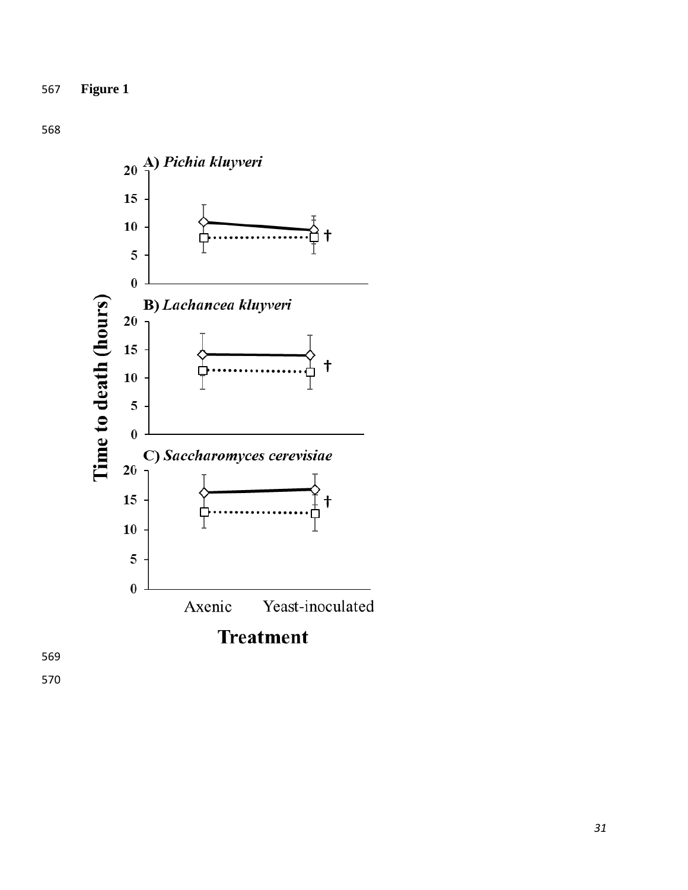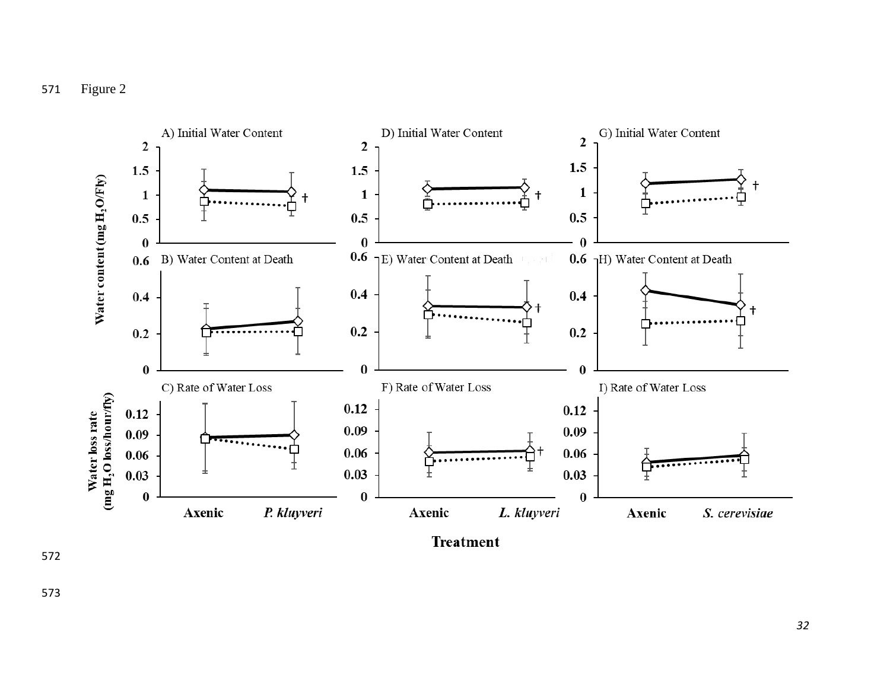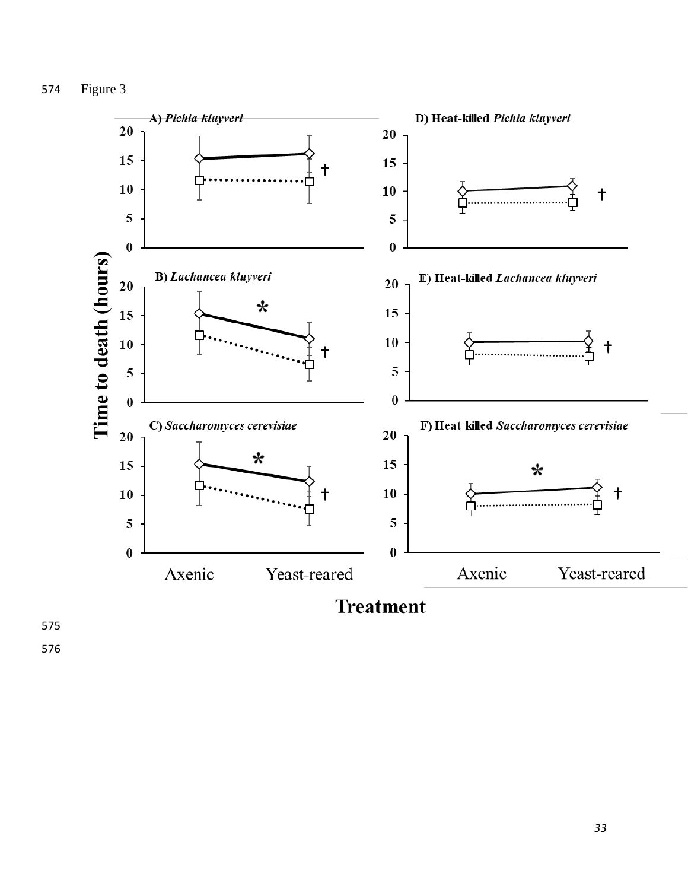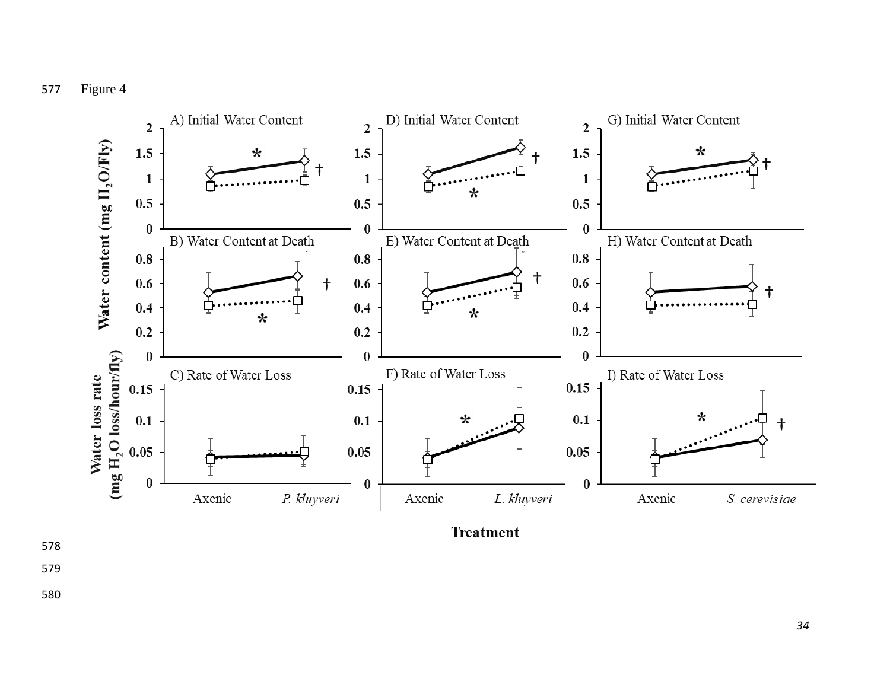

**Treatment**